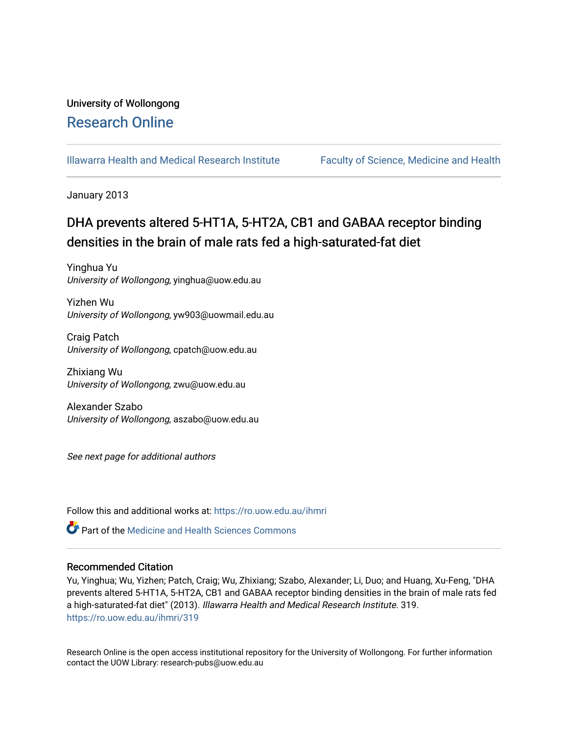## University of Wollongong [Research Online](https://ro.uow.edu.au/)

[Illawarra Health and Medical Research Institute](https://ro.uow.edu.au/ihmri) [Faculty of Science, Medicine and Health](https://ro.uow.edu.au/smh) 

January 2013

# DHA prevents altered 5-HT1A, 5-HT2A, CB1 and GABAA receptor binding densities in the brain of male rats fed a high-saturated-fat diet

Yinghua Yu University of Wollongong, yinghua@uow.edu.au

Yizhen Wu University of Wollongong, yw903@uowmail.edu.au

Craig Patch University of Wollongong, cpatch@uow.edu.au

Zhixiang Wu University of Wollongong, zwu@uow.edu.au

Alexander Szabo University of Wollongong, aszabo@uow.edu.au

See next page for additional authors

Follow this and additional works at: [https://ro.uow.edu.au/ihmri](https://ro.uow.edu.au/ihmri?utm_source=ro.uow.edu.au%2Fihmri%2F319&utm_medium=PDF&utm_campaign=PDFCoverPages)

Part of the [Medicine and Health Sciences Commons](http://network.bepress.com/hgg/discipline/648?utm_source=ro.uow.edu.au%2Fihmri%2F319&utm_medium=PDF&utm_campaign=PDFCoverPages) 

#### Recommended Citation

Yu, Yinghua; Wu, Yizhen; Patch, Craig; Wu, Zhixiang; Szabo, Alexander; Li, Duo; and Huang, Xu-Feng, "DHA prevents altered 5-HT1A, 5-HT2A, CB1 and GABAA receptor binding densities in the brain of male rats fed a high-saturated-fat diet" (2013). Illawarra Health and Medical Research Institute. 319. [https://ro.uow.edu.au/ihmri/319](https://ro.uow.edu.au/ihmri/319?utm_source=ro.uow.edu.au%2Fihmri%2F319&utm_medium=PDF&utm_campaign=PDFCoverPages)

Research Online is the open access institutional repository for the University of Wollongong. For further information contact the UOW Library: research-pubs@uow.edu.au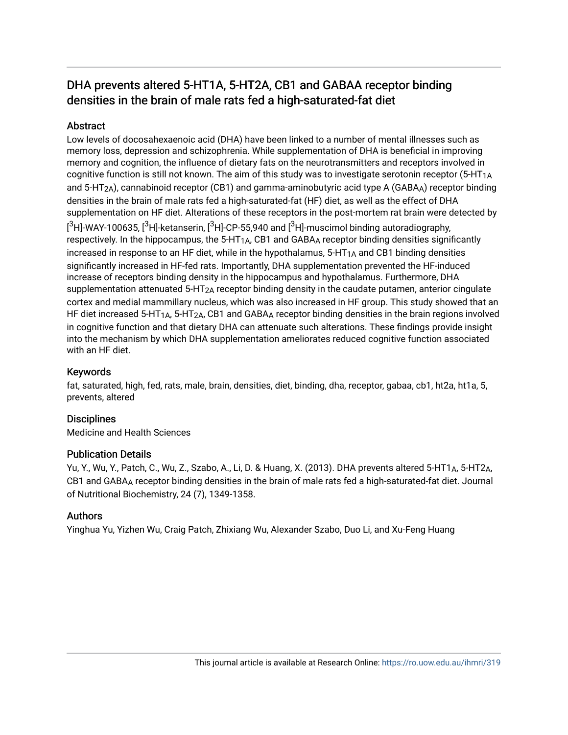## DHA prevents altered 5-HT1A, 5-HT2A, CB1 and GABAA receptor binding densities in the brain of male rats fed a high-saturated-fat diet

## Abstract

Low levels of docosahexaenoic acid (DHA) have been linked to a number of mental illnesses such as memory loss, depression and schizophrenia. While supplementation of DHA is beneficial in improving memory and cognition, the influence of dietary fats on the neurotransmitters and receptors involved in cognitive function is still not known. The aim of this study was to investigate serotonin receptor (5-HT1A and 5-HT<sub>2A</sub>), cannabinoid receptor (CB1) and gamma-aminobutyric acid type A (GABA<sub>A</sub>) receptor binding densities in the brain of male rats fed a high-saturated-fat (HF) diet, as well as the effect of DHA supplementation on HF diet. Alterations of these receptors in the post-mortem rat brain were detected by  $[^3$ H]-WAY-100635, [ $^3$ H]-ketanserin, [ $^3$ H]-CP-55,940 and [ $^3$ H]-muscimol binding autoradiography, respectively. In the hippocampus, the 5-HT<sub>1A</sub>, CB1 and GABA<sub>A</sub> receptor binding densities significantly increased in response to an HF diet, while in the hypothalamus,  $5-HT<sub>1A</sub>$  and CB1 binding densities significantly increased in HF-fed rats. Importantly, DHA supplementation prevented the HF-induced increase of receptors binding density in the hippocampus and hypothalamus. Furthermore, DHA supplementation attenuated 5-HT<sub>2A</sub> receptor binding density in the caudate putamen, anterior cingulate cortex and medial mammillary nucleus, which was also increased in HF group. This study showed that an HF diet increased 5-HT<sub>1A</sub>, 5-HT<sub>2A</sub>, CB1 and GABA<sub>A</sub> receptor binding densities in the brain regions involved in cognitive function and that dietary DHA can attenuate such alterations. These findings provide insight into the mechanism by which DHA supplementation ameliorates reduced cognitive function associated with an HF diet.

## Keywords

fat, saturated, high, fed, rats, male, brain, densities, diet, binding, dha, receptor, gabaa, cb1, ht2a, ht1a, 5, prevents, altered

## **Disciplines**

Medicine and Health Sciences

## Publication Details

Yu, Y., Wu, Y., Patch, C., Wu, Z., Szabo, A., Li, D. & Huang, X. (2013). DHA prevents altered 5-HT1A, 5-HT2A, CB1 and GABAA receptor binding densities in the brain of male rats fed a high-saturated-fat diet. Journal of Nutritional Biochemistry, 24 (7), 1349-1358.

## Authors

Yinghua Yu, Yizhen Wu, Craig Patch, Zhixiang Wu, Alexander Szabo, Duo Li, and Xu-Feng Huang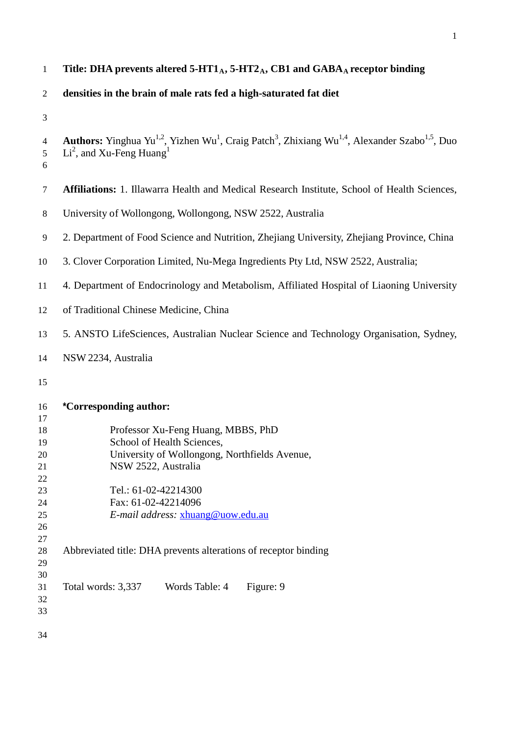## 1 **Title: DHA prevents altered 5-HT1<sub>A</sub>, 5-HT2<sub>A</sub>, CB1 and GABA<sub>A</sub> receptor binding**

#### **densities in the brain of male rats fed a high-saturated fat diet**

```
4 Authors: Yinghua Yu<sup>1,2</sup>, Yizhen Wu<sup>1</sup>, Craig Patch<sup>3</sup>, Zhixiang Wu<sup>1,4</sup>, Alexander Szabo<sup>1,5</sup>, Duo
 5 Li<sup>2</sup>, and Xu-Feng Huang<sup>1</sup>
6
7 Affiliations: 1. Illawarra Health and Medical Research Institute, School of Health Sciences, 
8 University of Wollongong, Wollongong, NSW 2522, Australia 
9 2. Department of Food Science and Nutrition, Zhejiang University, Zhejiang Province, China
10 3. Clover Corporation Limited, Nu-Mega Ingredients Pty Ltd, NSW 2522, Australia;
11 4. Department of Endocrinology and Metabolism, Affiliated Hospital of Liaoning University 
12 of Traditional Chinese Medicine, China
13 5. ANSTO LifeSciences, Australian Nuclear Science and Technology Organisation, Sydney, 
14 NSW 2234, Australia
15
16 *Corresponding author: 
17
18 Professor Xu-Feng Huang, MBBS, PhD
19 School of Health Sciences, 
20 University of Wollongong, Northfields Avenue,
21 NSW 2522, Australia
22
23 Tel.: 61-02-42214300
24 Fax: 61-02-42214096
25 E-mail address: xhuang@uow.edu.au
26
27
28 Abbreviated title: DHA prevents alterations of receptor binding 
29
30
31 Total words: 3,337 Words Table: 4 Figure: 9
32
33
34
```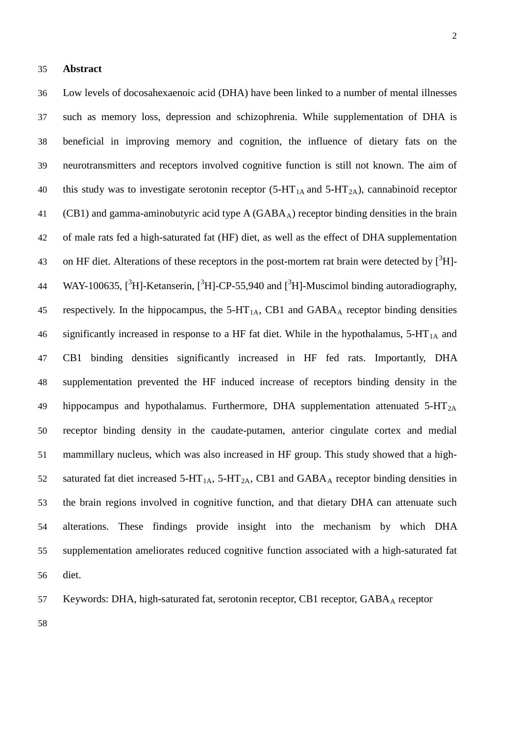Low levels of docosahexaenoic acid (DHA) have been linked to a number of mental illnesses

 such as [memory](http://www.naturalnews.com/memory.html) loss, depression and [schizophrenia.](http://www.naturalnews.com/schizophrenia.html) While supplementation of DHA is beneficial in improving memory and cognition, the influence of dietary fats on the neurotransmitters and receptors involved cognitive function is still not known. The aim of 40 this study was to investigate serotonin receptor  $(5-HT<sub>1A</sub>$  and  $5-HT<sub>2A</sub>)$ , cannabinoid receptor 41 (CB1) and gamma-aminobutyric acid [t](http://www.google.com.au/url?q=http://en.wikipedia.org/wiki/Gamma-Aminobutyric_acid&sa=U&ei=8MaQT_bQJoWuiQe86vWRBA&ved=0CCIQFjAA&sig2=lu7I9lSV1WtzNR0jtE526g&usg=AFQjCNGVhC5xA8T2BxWkYcrFjyTu_G_CWw)ype  $A(GABA_A)$  receptor binding densities in the brain of male rats fed a high-saturated fat (HF) diet, as well as the effect of DHA supplementation 43 on HF diet. Alterations of these receptors in the post-mortem rat brain were detected by  $[^{3}H]$ -44 WAY-100635,  $[^{3}H]$ -Ketanserin,  $[^{3}H]$ -CP-55,940 and  $[^{3}H]$ -Muscimol binding autoradiography, 45 respectively. In the hippocampus, the  $5-HT_{1A}$ , CB1 and  $GABA_A$  receptor binding densities 46 significantly increased in response to a HF fat diet. While in the hypothalamus,  $5-HT<sub>1A</sub>$  and CB1 binding densities significantly increased in HF fed rats. Importantly, DHA supplementation prevented the HF induced increase of receptors binding density in the 49 hippocampus and hypothalamus. Furthermore, DHA supplementation attenuated  $5-HT_{2A}$  receptor binding density in the caudate-putamen, anterior cingulate cortex and medial mammillary nucleus, which was also increased in HF group. This study showed that a high-52 saturated fat diet increased 5-HT<sub>1A</sub>, 5-HT<sub>2A</sub>, CB1 and GABA<sub>A</sub> receptor binding densities in the brain regions involved in cognitive function, and that dietary DHA can attenuate such alterations. These findings provide insight into the mechanism by which DHA supplementation ameliorates reduced cognitive function associated with a high-saturated fat diet.

57 Keywords: DHA, high-saturated fat, serotonin receptor, CB1 receptor, GABAA receptor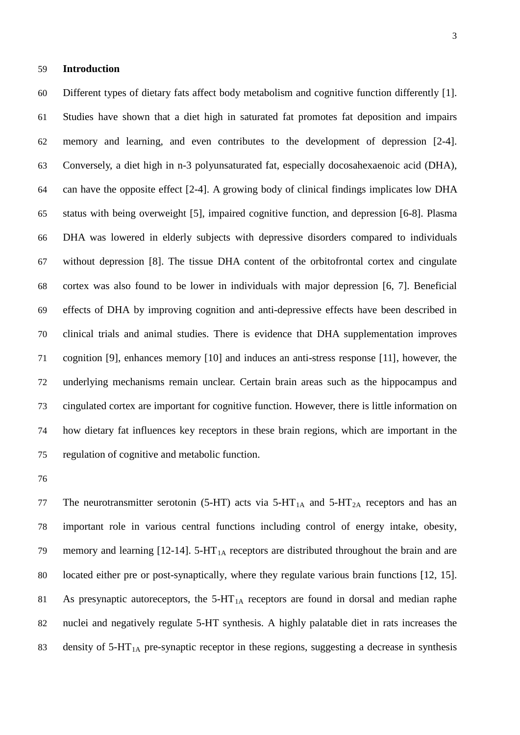#### **Introduction**

 Different types of dietary fats affect body metabolism and cognitive function differently [1]. Studies have shown that a diet high in saturated fat promotes fat deposition and impairs memory and learning, and even contributes to the development of depression [2-4]. Conversely, a diet high in n-3 polyunsaturated fat, especially [docosahexaenoic acid \(](http://www.google.com.au/url?q=http://en.wikipedia.org/wiki/Docosahexaenoic_acid&sa=U&ei=iXm0T_GvJ6LAiQekorWFAw&ved=0CCwQFjAH&sig2=hU09g2IC1vLcuZA-IqbpNg&usg=AFQjCNGBJfJj7Vo3UnDw3wUAyZyXC-mfGg)DHA), can have the opposite effect [2-4]. A growing body of clinical findings implicates low DHA status with being overweight [5], impaired cognitive function, and depression [6-8]. Plasma DHA was lowered in elderly subjects with depressive disorders compared to individuals without depression [8]. The tissue DHA content of the orbitofrontal cortex and cingulate cortex was also found to be lower in individuals with major depression [6, 7]. Beneficial effects of DHA by improving cognition and anti-depressive effects have been described in clinical trials and animal studies. There is evidence that DHA supplementation improves cognition [9], enhances memory [10] and induces an anti-stress response [11], however, the underlying mechanisms remain unclear. Certain brain areas such as the hippocampus and cingulated cortex are important for cognitive function. However, there is little information on how dietary fat influences key receptors in these brain regions, which are important in the regulation of cognitive and metabolic function.

77 The neurotransmitter serotonin (5-HT) acts via  $5-HT<sub>1A</sub>$  and  $5-HT<sub>2A</sub>$  receptors and has an important role in various central functions including control of energy intake, obesity, 79 memory and learning  $[12-14]$ . 5-HT<sub>1A</sub> receptors are distributed throughout the brain and are located either pre or post-synaptically, where they regulate various brain functions [12, 15]. 81 As presynaptic autoreceptors, the  $5-HT_{1A}$  receptors are found in dorsal and median raphe nuclei and negatively regulate 5-HT synthesis. A highly palatable diet in rats increases the 83 density of  $5-HT_{1A}$  pre-synaptic receptor in these regions, suggesting a decrease in synthesis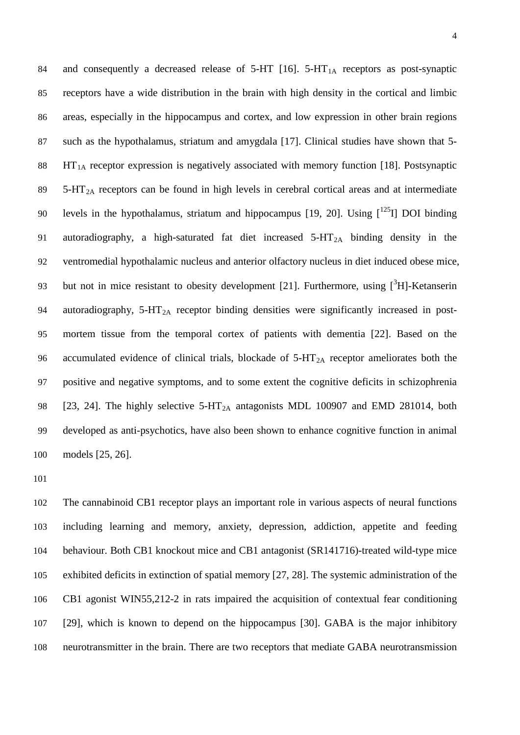84 and consequently a decreased release of 5-HT [16]. 5-HT<sub>1A</sub> receptors as post-synaptic receptors have a wide distribution in the brain with high density in the cortical and limbic areas, especially in the hippocampus and cortex, and low expression in other brain regions such as the hypothalamus, striatum and amygdala [17]. Clinical studies have shown that 5-  $\text{HT}_{1\text{A}}$  receptor expression is negatively associated with memory function [18]. Postsynaptic  $5-HT<sub>2A</sub>$  receptors can be found in high levels in cerebral cortical areas and at intermediate 90 levels in the hypothalamus, striatum and hippocampus [19, 20]. Using  $\lceil 1^{25} \rceil$  DOI binding autoradiography, a high-saturated fat diet increased 5-HT2A binding density in the ventromedial hypothalamic nucleus and anterior olfactory nucleus in diet induced obese mice, 93 but not in mice resistant to obesity development [21]. Furthermore, using  $[{}^{3}H]$ -Ketanserin 94 autoradiography,  $5-HT_{2A}$  receptor binding densities were significantly increased in post- mortem tissue from the temporal cortex of patients with dementia [22]. Based on the 96 accumulated evidence of clinical trials, blockade of  $5-HT<sub>2A</sub>$  receptor ameliorates both the positive and negative symptoms, and to some extent the cognitive deficits in schizophrenia 98 [23, 24]. The highly selective  $5-HT_{2A}$  antagonists MDL 100907 and EMD 281014, both developed as anti-psychotics, have also been shown to enhance cognitive function in animal models [25, 26].

 The cannabinoid CB1 receptor plays an important role in various aspects of neural functions including learning and memory, anxiety, depression, addiction, appetite and feeding behaviour. Both CB1 knockout mice and CB1 antagonist (SR141716)-treated wild-type mice exhibited deficits in extinction of spatial memory [27, 28]. The systemic administration of the CB1 agonist WIN55,212-2 in rats impaired the acquisition of contextual fear conditioning [29], which is known to depend on the hippocampus [30]. GABA is the major inhibitory neurotransmitter in the brain. There are two receptors that mediate GABA neurotransmission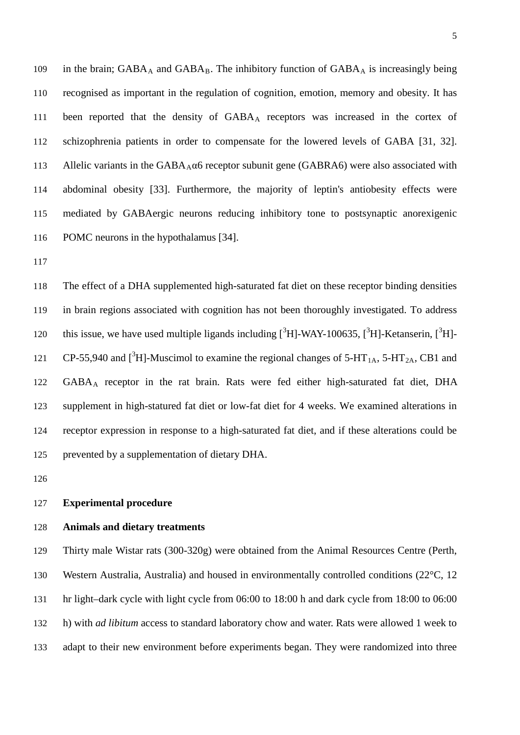109 in the brain;  $GABA_A$  and  $GABA_B$ . The inhibitory function of  $GABA_A$  is increasingly being recognised as important in the regulation of cognition, emotion, memory and obesity. It has been reported that the density of GABAA receptors was increased in the cortex of schizophrenia patients in order to compensate for the lowered levels of GABA [31, 32]. 113 Allelic variants in the  $GABA_A\alpha6$  receptor subunit gene (GABRA6) were also associated with abdominal obesity [33]. Furthermore, the majority of leptin's antiobesity effects were mediated by GABAergic neurons reducing inhibitory tone to postsynaptic anorexigenic POMC neurons in the hypothalamus [34].

 The effect of a DHA supplemented high-saturated fat diet on these receptor binding densities in brain regions associated with cognition has not been thoroughly investigated. To address 120 this issue, we have used multiple ligands including  $[{}^3H]$ -WAY-100635,  $[{}^3H]$ -Ketanserin,  $[{}^3H]$ -121 CP-55,940 and  $[^{3}H]$ -Muscimol to examine the regional changes of 5-HT<sub>1A</sub>, 5-HT<sub>2A</sub>, CB1 and 122 GABA<sub>A</sub> receptor in the rat brain. Rats were fed either high-saturated fat diet, DHA supplement in high-statured fat diet or low-fat diet for 4 weeks. We examined alterations in receptor expression in response to a high-saturated fat diet, and if these alterations could be prevented by a supplementation of dietary DHA.

#### **Experimental procedure**

#### **Animals and dietary treatments**

 Thirty male Wistar rats (300-320g) were obtained from the Animal Resources Centre (Perth, Western Australia, Australia) and housed in environmentally controlled conditions (22°C, 12 hr light–dark cycle with light cycle from 06:00 to 18:00 h and dark cycle from 18:00 to 06:00 h) with *ad libitum* access to standard laboratory chow and water. Rats were allowed 1 week to adapt to their new environment before experiments began. They were randomized into three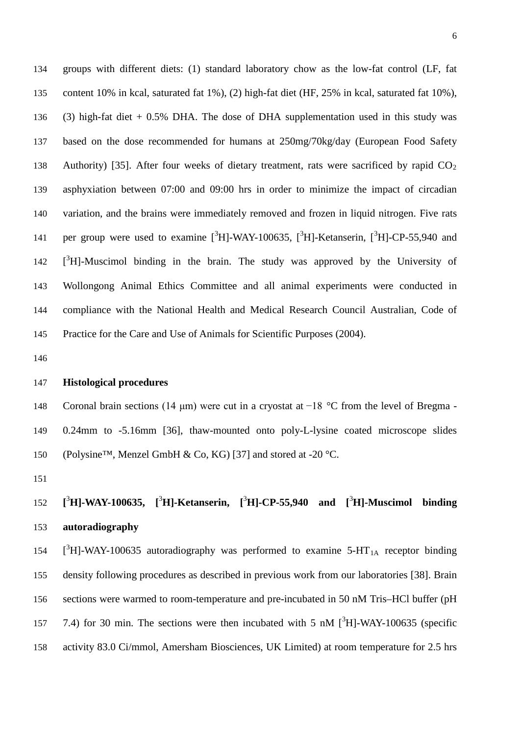groups with different diets: (1) standard laboratory chow as the low-fat control (LF, fat content 10% in kcal, saturated fat 1%), (2) high-fat diet (HF, 25% in kcal, saturated fat 10%), (3) high-fat diet + 0.5% DHA. The dose of DHA supplementation used in this study was based on the dose recommended for humans at 250mg/70kg/day (European Food Safety 138 Authority) [35]. After four weeks of dietary treatment, rats were sacrificed by rapid  $CO<sub>2</sub>$  asphyxiation between 07:00 and 09:00 hrs in order to minimize the impact of circadian variation, and the brains were immediately removed and frozen in liquid nitrogen. Five rats 141 per group were used to examine  $[{}^{3}H]$ -WAY-100635,  $[{}^{3}H]$ -Ketanserin,  $[{}^{3}H]$ -CP-55,940 and 142 [<sup>3</sup>H]-Muscimol binding in the brain. The study was approved by the University of Wollongong Animal Ethics Committee and all animal experiments were conducted in compliance with the National Health and Medical Research Council Australian, Code of Practice for the Care and Use of Animals for Scientific Purposes (2004).

#### **Histological procedures**

 Coronal brain sections (14 μm) were cut in a cryostat at −18 °C from the level of Bregma - 0.24mm to -5.16mm [36], thaw-mounted onto poly-L-lysine coated microscope slides 150 (Polysine™, Menzel GmbH & Co, KG) [37] and stored at -20 °C.

# **[** 3 **H]-WAY-100635, [** 3 **H]-Ketanserin, [** 3 **H]-CP-55,940 and [** 3 **H]-Muscimol binding autoradiography**

 $[^{3}H]$ -WAY-100635 autoradiography was performed to examine 5-HT<sub>1A</sub> receptor binding density following procedures as described in previous work from our laboratories [38]. Brain sections were warmed to room-temperature and pre-incubated in 50 nM Tris–HCl buffer (pH 157 7.4) for 30 min. The sections were then incubated with 5 nM  $[^{3}H]$ -WAY-100635 (specific activity 83.0 Ci/mmol, Amersham Biosciences, UK Limited) at room temperature for 2.5 hrs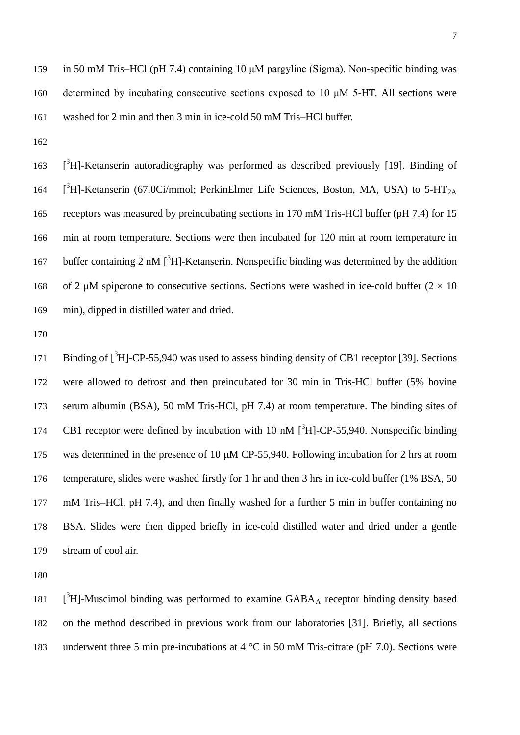in 50 mM Tris–HCl (pH 7.4) containing 10 μM pargyline (Sigma). Non-specific binding was determined by incubating consecutive sections exposed to 10 μM 5-HT. All sections were washed for 2 min and then 3 min in ice-cold 50 mM Tris–HCl buffer.

163 [<sup>3</sup>H]-Ketanserin autoradiography was performed as described previously [19]. Binding of 164  $[^{3}H]$ -Ketanserin (67.0Ci/mmol; PerkinElmer Life Sciences, Boston, MA, USA) to 5-HT<sub>2A</sub> receptors was measured by preincubating sections in 170 mM Tris-HCl buffer (pH 7.4) for 15 min at room temperature. Sections were then incubated for 120 min at room temperature in 167 buffer containing 2 nM  $[^{3}H]$ -Ketanserin. Nonspecific binding was determined by the addition 168 of 2 μM spiperone to consecutive sections. Sections were washed in ice-cold buffer  $(2 \times 10)$ min), dipped in distilled water and dried.

171 Binding of [<sup>3</sup>H]-CP-55,940 was used to assess binding density of CB1 receptor [39]. Sections were allowed to defrost and then preincubated for 30 min in Tris-HCl buffer (5% bovine serum albumin (BSA), 50 mM Tris-HCl, pH 7.4) at room temperature. The binding sites of 174 CB1 receptor were defined by incubation with 10 nM  $[^{3}H]$ -CP-55,940. Nonspecific binding was determined in the presence of 10 μM CP-55,940. Following incubation for 2 hrs at room temperature, slides were washed firstly for 1 hr and then 3 hrs in ice-cold buffer (1% BSA, 50 mM Tris–HCl, pH 7.4), and then finally washed for a further 5 min in buffer containing no BSA. Slides were then dipped briefly in ice-cold distilled water and dried under a gentle stream of cool air.

181  $\left[$ <sup>3</sup>H]-Muscimol binding was performed to examine GABA<sub>A</sub> receptor binding density based on the method described in previous work from our laboratories [31]. Briefly, all sections 183 underwent three 5 min pre-incubations at 4 °C in 50 mM Tris-citrate (pH 7.0). Sections were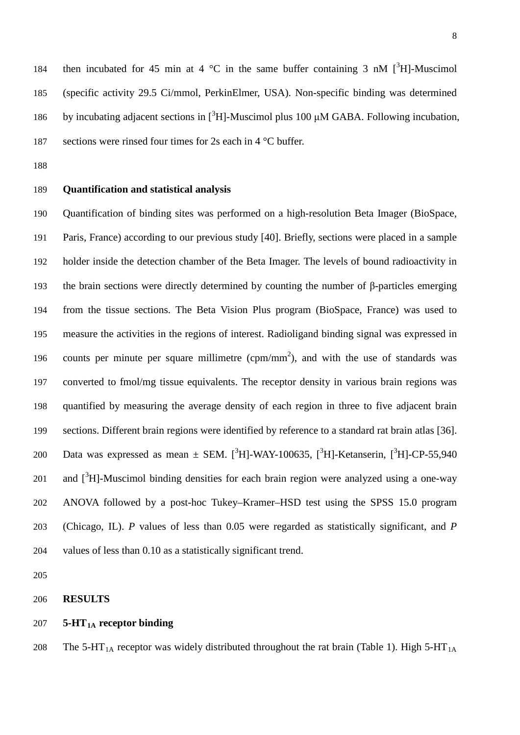184 then incubated for 45 min at 4  $\degree$ C in the same buffer containing 3 nM  $[^{3}H]$ -Muscimol (specific activity 29.5 Ci/mmol, PerkinElmer, USA). Non-specific binding was determined 186 by incubating adjacent sections in  $[{}^{3}H]$ -Muscimol plus 100 μM GABA. Following incubation, sections were rinsed four times for 2s each in 4 °C buffer.

## **Quantification and statistical analysis**

 Quantification of binding sites was performed on a high-resolution Beta Imager (BioSpace, Paris, France) according to our previous study [40]. Briefly, sections were placed in a sample holder inside the detection chamber of the Beta Imager. The levels of bound radioactivity in the brain sections were directly determined by counting the number of β-particles emerging from the tissue sections. The Beta Vision Plus program (BioSpace, France) was used to measure the activities in the regions of interest. Radioligand binding signal was expressed in 196 counts per minute per square millimetre (cpm/mm<sup>2</sup>), and with the use of standards was converted to fmol/mg tissue equivalents. The receptor density in various brain regions was quantified by measuring the average density of each region in three to five adjacent brain sections. Different brain regions were identified by reference to a standard rat brain atlas [36]. 200 Data was expressed as mean  $\pm$  SEM. [<sup>3</sup>H]-WAY-100635, [<sup>3</sup>H]-Ketanserin, [<sup>3</sup>H]-CP-55,940 201 and  $[3H]$ -Muscimol binding densities for each brain region were analyzed using a one-way ANOVA followed by a post-hoc Tukey–Kramer–HSD test using the SPSS 15.0 program (Chicago, IL). *P* values of less than 0.05 were regarded as statistically significant, and *P* values of less than 0.10 as a statistically significant trend.

#### **RESULTS**

#### 207 **5-HT<sub>1A</sub>** receptor binding

208 The 5-HT<sub>1A</sub> receptor was widely distributed throughout the rat brain (Table 1). High 5-HT<sub>1A</sub>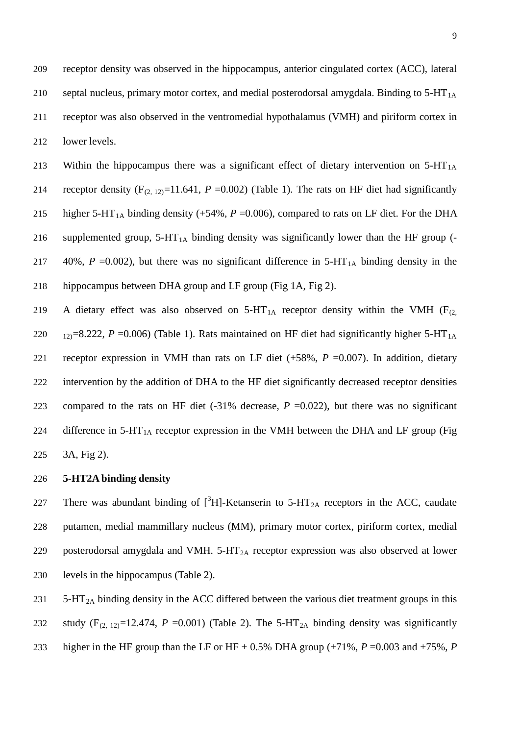213 Within the hippocampus there was a significant effect of dietary intervention on  $5-HT<sub>1A</sub>$ 214 receptor density  $(F_{(2, 12)}=11.641, P=0.002)$  (Table 1). The rats on HF diet had significantly 215 higher 5-HT<sub>1A</sub> binding density (+54%,  $P = 0.006$ ), compared to rats on LF diet. For the DHA 216 supplemented group,  $5-HT_{1A}$  binding density was significantly lower than the HF group (-217 40%,  $P = 0.002$ ), but there was no significant difference in  $5-HT<sub>1A</sub>$  binding density in the 218 hippocampus between DHA group and LF group (Fig 1A, Fig 2).

219 A dietary effect was also observed on  $5-HT_{1A}$  receptor density within the VMH (F<sub>(2,</sub> 220  $_{12}$ =8.222, *P* =0.006) (Table 1). Rats maintained on HF diet had significantly higher 5-HT<sub>1A</sub> 221 receptor expression in VMH than rats on LF diet (+58%, *P* =0.007). In addition, dietary 222 intervention by the addition of DHA to the HF diet significantly decreased receptor densities 223 compared to the rats on HF diet  $(-31\%$  decrease,  $P = 0.022$ ), but there was no significant 224 difference in  $5-HT_{1A}$  receptor expression in the VMH between the DHA and LF group (Fig 225 3A, Fig 2).

## 226 **5-HT2A binding density**

227 There was abundant binding of  $[^{3}H]$ -Ketanserin to 5-HT<sub>2A</sub> receptors in the ACC, caudate 228 putamen, medial mammillary nucleus (MM), primary motor cortex, piriform cortex, medial 229 posterodorsal amygdala and VMH.  $5$ -HT<sub>2A</sub> receptor expression was also observed at lower 230 levels in the hippocampus (Table 2).

231  $5-HT<sub>2A</sub>$  binding density in the ACC differed between the various diet treatment groups in this

232 study  $(F_{(2, 12)}=12.474, P=0.001)$  (Table 2). The 5-HT<sub>2A</sub> binding density was significantly

233 higher in the HF group than the LF or HF + 0.5% DHA group  $(+71\% , P = 0.003$  and  $+75\%$ , *P*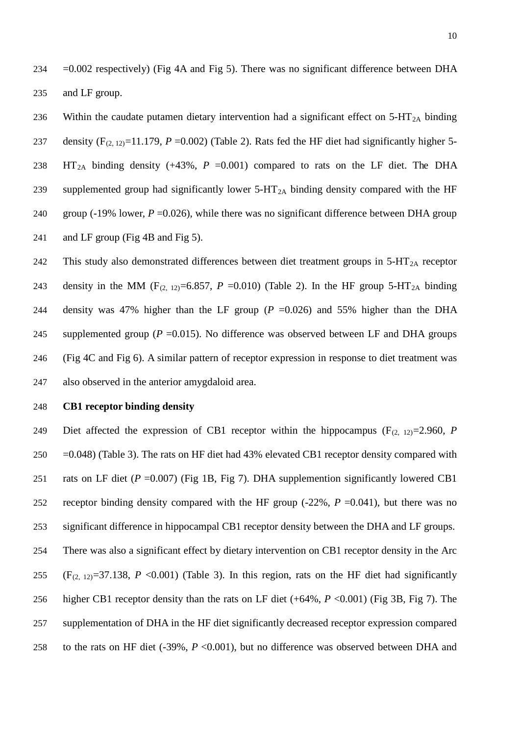$234 = 0.002$  respectively) (Fig 4A and Fig 5). There was no significant difference between DHA 235 and LF group.

236 Within the caudate putamen dietary intervention had a significant effect on  $5-HT_{2A}$  binding 237 density  $(F_{(2, 12)}=11.179, P=0.002)$  (Table 2). Rats fed the HF diet had significantly higher 5-238 HT<sub>2A</sub> binding density (+43%,  $P = 0.001$ ) compared to rats on the LF diet. The DHA 239 supplemented group had significantly lower  $5-HT_{2A}$  binding density compared with the HF 240 group ( $-19\%$  lower,  $P = 0.026$ ), while there was no significant difference between DHA group 241 and LF group (Fig 4B and Fig 5).

242 This study also demonstrated differences between diet treatment groups in  $5-HT<sub>2A</sub>$  receptor 243 density in the MM ( $F_{(2, 12)}=6.857$ ,  $P = 0.010$ ) (Table 2). In the HF group 5-HT<sub>2A</sub> binding 244 density was 47% higher than the LF group  $(P = 0.026)$  and 55% higher than the DHA 245 supplemented group ( $P = 0.015$ ). No difference was observed between LF and DHA groups 246 (Fig 4C and Fig 6). A similar pattern of receptor expression in response to diet treatment was 247 also observed in the anterior amygdaloid area.

## 248 **CB1 receptor binding density**

249 Diet affected the expression of CB1 receptor within the hippocampus  $(F_{(2, 12)}=2.960, P_{(2, 12)}=2.960, P_{(2, 12)}=2.960, P_{(2, 12)}=2.960, P_{(2, 12)}=2.960, P_{(2, 12)}=2.960, P_{(2, 12)}=2.960, P_{(2, 12)}=2.960, P_{(2, 12)}=2.960, P_{(2$  There was also a significant effect by dietary intervention on CB1 receptor density in the Arc 255 (F<sub>(2, 12)</sub>=37.138, P <0.001) (Table 3). In this region, rats on the HF diet had significantly  $250 = 0.048$ ) (Table 3). The rats on HF diet had 43% elevated CB1 receptor density compared with rats on LF diet (*P* =0.007) (Fig 1B, Fig 7). DHA supplemention significantly lowered CB1 receptor binding density compared with the HF group (-22%, *P* =0.041), but there was no significant difference in hippocampal CB1 receptor density between the DHA and LF groups. higher CB1 receptor density than the rats on LF diet (+64%, *P* <0.001) (Fig 3B, Fig 7). The supplementation of DHA in the HF diet significantly decreased receptor expression compared to the rats on HF diet (-39%, *P* <0.001), but no difference was observed between DHA and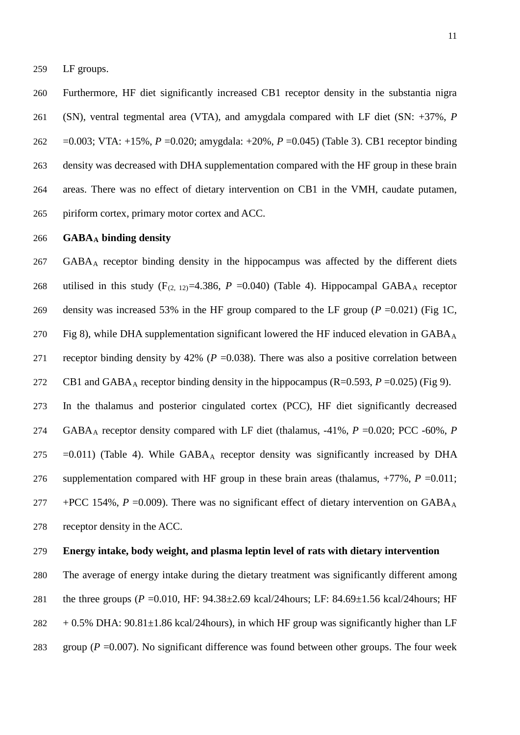LF groups.

 Furthermore, HF diet significantly increased CB1 receptor density in the substantia nigra (SN), [ventral tegmental area](http://www.google.com.au/url?q=http://en.wikipedia.org/wiki/Ventral_tegmental_area&sa=U&ei=xqSYT6WoDJGtiQfIqqXZBQ&ved=0CBQQFjAA&sig2=xhvodDxdtedmTX8_fETrUQ&usg=AFQjCNHlsUEhDKrSTcWBZOi8_EMr7uyvHQ) (VTA), and amygdala compared with LF diet (SN: +37%, *P* =0.003; VTA: +15%, *P* =0.020; amygdala: +20%, *P* =0.045) (Table 3). CB1 receptor binding density was decreased with DHA supplementation compared with the HF group in these brain areas. There was no effect of dietary intervention on CB1 in the VMH, caudate putamen, piriform cortex, primary motor cortex and ACC.

#### **GABAA binding density**

267 GABA<sub>A</sub> receptor binding density in the hippocampus was affected by the different diets 268 utilised in this study  $(F_{(2, 12)}=4.386, P=0.040)$  (Table 4). Hippocampal GABA<sub>A</sub> receptor density was increased 53% in the HF group compared to the LF group (*P* =0.021) (Fig 1C, 270 Fig 8), while DHA supplementation significant lowered the HF induced elevation in  $GABA_A$ 271 receptor binding density by 42% ( $P = 0.038$ ). There was also a positive correlation between CB1 and GABA<sub>A</sub> receptor binding density in the hippocampus  $(R=0.593, P=0.025)$  (Fig 9).

 In the thalamus and posterior cingulated cortex (PCC), HF diet significantly decreased 274 GABA<sub>A</sub> receptor density compared with LF diet (thalamus, -41%, *P* =0.020; PCC -60%, *P* 275 = 0.011) (Table 4). While  $GABA_A$  receptor density was significantly increased by DHA supplementation compared with HF group in these brain areas (thalamus, +77%, *P* =0.011; +PCC 154%,  $P = 0.009$ ). There was no significant effect of dietary intervention on GABA<sub>A</sub> receptor density in the ACC.

## **Energy intake, body weight, and plasma leptin level of rats with dietary intervention**

 The average of energy intake during the dietary treatment was significantly different among the three groups (*P* =0.010, HF: 94.38±2.69 kcal/24hours; LF: 84.69±1.56 kcal/24hours; HF  $282 + 0.5\%$  DHA:  $90.81 \pm 1.86$  kcal/24 hours), in which HF group was significantly higher than LF

- 
- group (*P* =0.007). No significant difference was found between other groups. The four week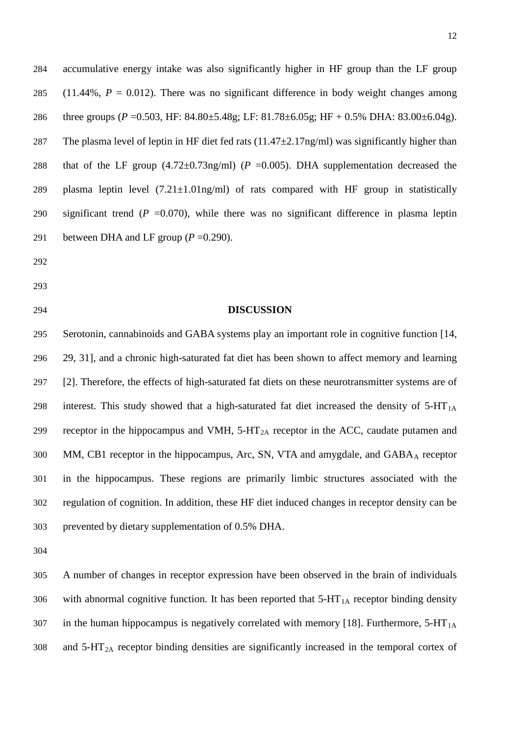284 accumulative energy intake was also significantly higher in HF group than the LF group 285 (11.44%,  $P = 0.012$ ). There was no significant difference in body weight changes among 286 three groups (*P* =0.503, HF: 84.80±5.48g; LF: 81.78±6.05g; HF + 0.5% DHA: 83.00±6.04g). 287 The plasma level of leptin in HF diet fed rats  $(11.47 \pm 2.17 \text{ng/ml})$  was significantly higher than 288 that of the LF group (4.72±0.73ng/ml) (*P* = 0.005). DHA supplementation decreased the 289 plasma leptin level  $(7.21 \pm 1.01 \text{ng/ml})$  of rats compared with HF group in statistically 290 significant trend  $(P = 0.070)$ , while there was no significant difference in plasma leptin 291 between DHA and LF group  $(P = 0.290)$ .

- 292
- 293
- 

### 294 **DISCUSSION**

 Serotonin, cannabinoids and GABA systems play an important role in cognitive function [14, 29, 31], and a chronic high-saturated fat diet has been shown to affect memory and learning [2]. Therefore, the effects of high-saturated fat diets on these neurotransmitter systems are of 298 interest. This study showed that a high-saturated fat diet increased the density of  $5-HT<sub>1A</sub>$ 299 receptor in the hippocampus and VMH,  $5-HT_{2A}$  receptor in the ACC, caudate putamen and 300 MM, CB1 receptor in the hippocampus, Arc, SN, VTA and amygdale, and GABA<sub>A</sub> receptor in the hippocampus. These regions are primarily limbic structures associated with the regulation of cognition. In addition, these HF diet induced changes in receptor density can be prevented by dietary supplementation of 0.5% DHA.

304

305 A number of changes in receptor expression have been observed in the brain of individuals 306 with abnormal cognitive function. It has been reported that  $5-HT_{1A}$  receptor binding density 307 in the human hippocampus is negatively correlated with memory [18]. Furthermore,  $5-HT<sub>1A</sub>$  $308$  and  $5-\text{HT}_{2A}$  receptor binding densities are significantly increased in the temporal cortex of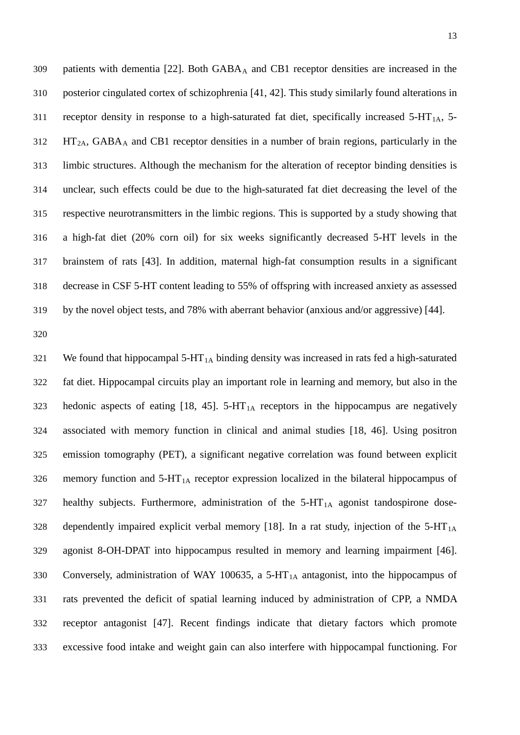309 patients with dementia  $[22]$ . Both  $GABA_A$  and CB1 receptor densities are increased in the posterior cingulated cortex of schizophrenia [41, 42]. This study similarly found alterations in 311 receptor density in response to a high-saturated fat diet, specifically increased  $5-HT<sub>1A</sub>$ ,  $5-HT<sub>2A</sub>$ ,  $5-HT<sub>3A</sub>$  HT<sub>2A</sub>, GABA<sub>A</sub> and CB1 receptor densities in a number of brain regions, particularly in the limbic structures. Although the mechanism for the alteration of receptor binding densities is unclear, such effects could be due to the high-saturated fat diet decreasing the level of the respective neurotransmitters in the limbic regions. This is supported by a study showing that a high-fat diet (20% corn oil) for six weeks significantly decreased 5-HT levels in the brainstem of rats [43]. In addition, maternal high-fat consumption results in a significant decrease in CSF 5-HT content leading to 55% of offspring with increased anxiety as assessed by the novel object tests, and 78% with aberrant behavior (anxious and/or aggressive) [44].

321 We found that hippocampal  $5-HT_{1A}$  binding density was increased in rats fed a high-saturated fat diet. Hippocampal circuits play an important role in learning and memory, but also in the 323 hedonic aspects of eating  $[18, 45]$ . 5-HT<sub>1A</sub> receptors in the hippocampus are negatively associated with memory function in clinical and animal studies [18, 46]. Using positron emission tomography (PET), a significant negative correlation was found between explicit 326 memory function and  $5-HT_{1A}$  receptor expression localized in the bilateral hippocampus of healthy subjects. Furthermore, administration of the  $5-HT<sub>1A</sub>$  agonist tandospirone dose-328 dependently impaired explicit verbal memory [18]. In a rat study, injection of the  $5-HT_{1A}$  agonist 8-OH-DPAT into hippocampus resulted in memory and learning impairment [46]. 330 Conversely, administration of WAY 100635, a 5-HT<sub>1A</sub> antagonist, into the hippocampus of rats prevented the deficit of spatial learning induced by administration of CPP, a NMDA receptor antagonist [47]. Recent findings indicate that dietary factors which promote excessive food intake and weight gain can also interfere with hippocampal functioning. For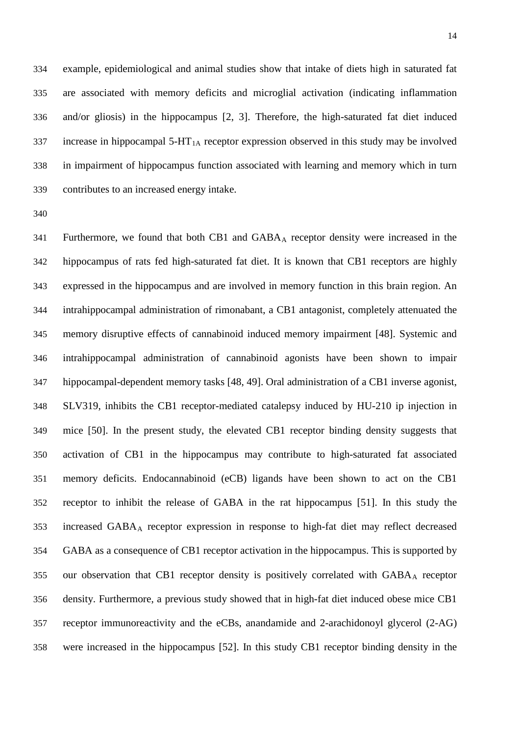example, epidemiological and animal studies show that intake of diets high in saturated fat are associated with memory deficits and microglial activation (indicating inflammation and/or gliosis) in the hippocampus [2, 3]. Therefore, the high-saturated fat diet induced 337 increase in hippocampal  $5-HT<sub>1A</sub>$  receptor expression observed in this study may be involved in impairment of hippocampus function associated with learning and memory which in turn contributes to an increased energy intake.

 Furthermore, we found that both CB1 and GABAA receptor density were increased in the hippocampus of rats fed high-saturated fat diet. It is known that CB1 receptors are highly expressed in the hippocampus and are involved in memory function in this brain region. An intrahippocampal administration of rimonabant, a CB1 antagonist, completely attenuated the memory disruptive effects of cannabinoid induced memory impairment [48]. Systemic and intrahippocampal administration of cannabinoid agonists have been shown to impair hippocampal-dependent memory tasks [48, 49]. Oral administration of a CB1 inverse agonist, SLV319, inhibits the CB1 receptor-mediated catalepsy induced by HU-210 ip injection in mice [50]. In the present study, the elevated CB1 receptor binding density suggests that activation of CB1 in the hippocampus may contribute to high-saturated fat associated memory deficits. Endocannabinoid (eCB) ligands have been shown to act on the CB1 receptor to inhibit the release of GABA in the rat hippocampus [51]. In this study the increased GABAA receptor expression in response to high-fat diet may reflect decreased GABA as a consequence of CB1 receptor activation in the hippocampus. This is supported by 355 our observation that CB1 receptor density is positively correlated with GABA<sub>A</sub> receptor density. Furthermore, a previous study showed that in high-fat diet induced obese mice CB1 receptor immunoreactivity and the eCBs, anandamide and 2-arachidonoyl glycerol (2-AG) were increased in the hippocampus [52]. In this study CB1 receptor binding density in the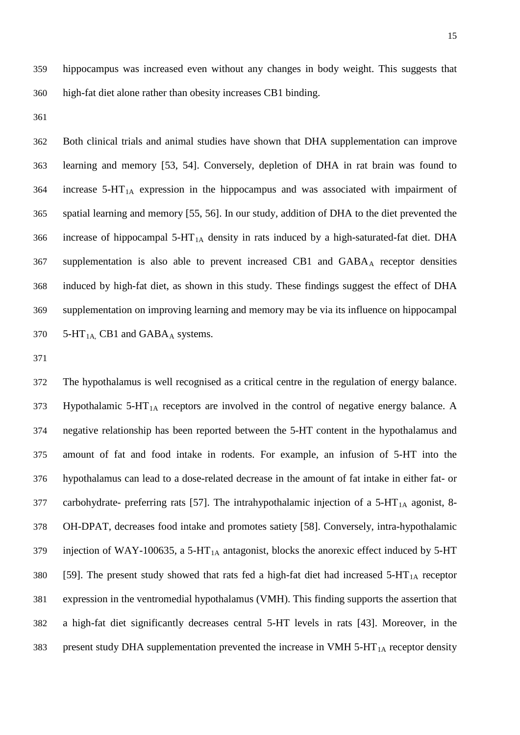hippocampus was increased even without any changes in body weight. This suggests that high-fat diet alone rather than obesity increases CB1 binding.

 Both clinical trials and animal studies have shown that DHA supplementation can improve learning and memory [53, 54]. Conversely, depletion of DHA in rat brain was found to increase  $5-HT<sub>1A</sub>$  expression in the hippocampus and was associated with impairment of spatial learning and memory [55, 56]. In our study, addition of DHA to the diet prevented the 366 increase of hippocampal  $5-HT_{1A}$  density in rats induced by a high-saturated-fat diet. DHA supplementation is also able to prevent increased CB1 and GABAA receptor densities induced by high-fat diet, as shown in this study. These findings suggest the effect of DHA supplementation on improving learning and memory may be via its influence on hippocampal  $5-HT<sub>1A</sub>$ , CB1 and GABA<sub>A</sub> systems.

 The hypothalamus is well recognised as a critical centre in the regulation of energy balance. Hypothalamic 5-HT<sub>1A</sub> receptors are involved in the control of negative energy balance. A negative relationship has been reported between the 5-HT content in the hypothalamus and amount of fat and food intake in rodents. For example, an infusion of 5-HT into the hypothalamus can lead to a dose-related decrease in the amount of fat intake in either fat- or 377 carbohydrate- preferring rats [57]. The intrahypothalamic injection of a  $5-HT<sub>1A</sub>$  agonist, 8- OH-DPAT, decreases food intake and promotes satiety [58]. Conversely, intra-hypothalamic 379 injection of WAY-100635, a 5-HT<sub>1A</sub> antagonist, blocks the anorexic effect induced by 5-HT 380 [59]. The present study showed that rats fed a high-fat diet had increased  $5-HT<sub>1A</sub>$  receptor expression in the ventromedial hypothalamus (VMH). This finding supports the assertion that a high-fat diet significantly decreases central 5-HT levels in rats [43]. Moreover, in the 383 present study DHA supplementation prevented the increase in VMH  $5-HT<sub>1A</sub>$  receptor density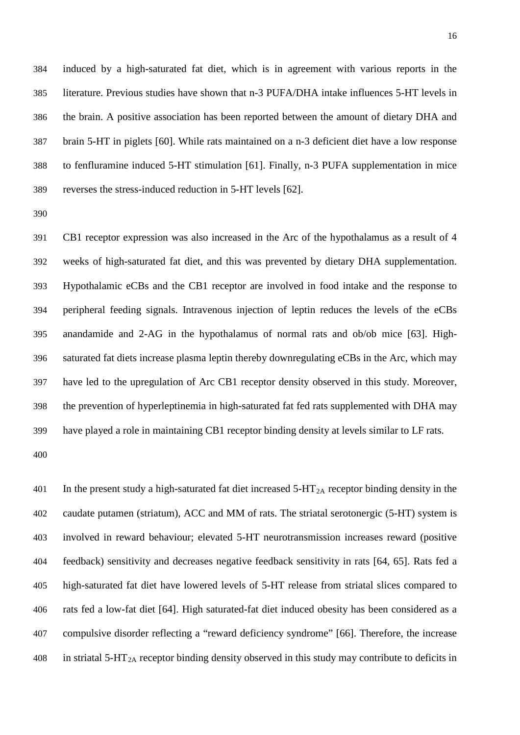induced by a high-saturated fat diet, which is in agreement with various reports in the literature. Previous studies have shown that n-3 PUFA/DHA intake influences 5-HT levels in the brain. A positive association has been reported between the amount of dietary DHA and brain 5-HT in piglets [60]. While rats maintained on a n-3 deficient diet have a low response to fenfluramine induced 5-HT stimulation [61]. Finally, n-3 PUFA supplementation in mice reverses the stress-induced reduction in 5-HT levels [62].

 CB1 receptor expression was also increased in the Arc of the hypothalamus as a result of 4 weeks of high-saturated fat diet, and this was prevented by dietary DHA supplementation. Hypothalamic eCBs and the CB1 receptor are involved in food intake and the response to peripheral feeding signals. Intravenous injection of leptin reduces the levels of the eCBs anandamide and 2-AG in the hypothalamus of normal rats and ob/ob mice [63]. High- saturated fat diets increase plasma leptin thereby downregulating eCBs in the Arc, which may have led to the upregulation of Arc CB1 receptor density observed in this study. Moreover, the prevention of hyperleptinemia in high-saturated fat fed rats supplemented with DHA may have played a role in maintaining CB1 receptor binding density at levels similar to LF rats.

401 In the present study a high-saturated fat diet increased  $5-HT_{2A}$  receptor binding density in the caudate putamen (striatum), ACC and MM of rats. The striatal serotonergic (5-HT) system is involved in reward behaviour; elevated 5-HT neurotransmission increases reward (positive feedback) sensitivity and decreases negative feedback sensitivity in rats [64, 65]. Rats fed a high-saturated fat diet have lowered levels of 5-HT release from striatal slices compared to rats fed a low-fat diet [64]. High saturated-fat diet induced obesity has been considered as a compulsive disorder reflecting a "reward deficiency syndrome" [66]. Therefore, the increase 408 in striatal 5-HT<sub>2A</sub> receptor binding density observed in this study may contribute to deficits in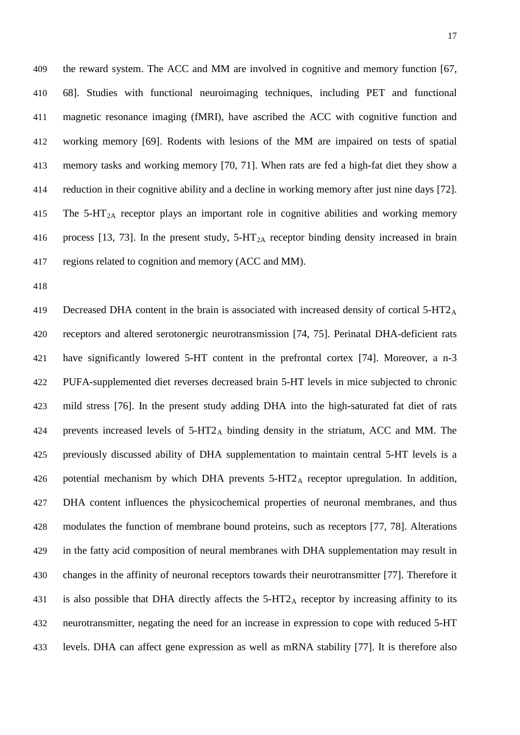the reward system. The ACC and MM are involved in cognitive and memory function [67, 68]. Studies with functional neuroimaging techniques, including PET and functional magnetic resonance imaging (fMRI), have ascribed the ACC with cognitive function and working memory [69]. Rodents with lesions of the MM are impaired on tests of spatial memory tasks and working memory [70, 71]. When rats are fed a high-fat diet they show a reduction in their cognitive ability and a decline in working memory after just nine days [72]. 415 The 5-HT<sub>2A</sub> receptor plays an important role in cognitive abilities and working memory 416 process [13, 73]. In the present study,  $5-HT_{2A}$  receptor binding density increased in brain regions related to cognition and memory (ACC and MM).

419 Decreased DHA content in the brain is associated with increased density of cortical 5-HT2<sub>A</sub> receptors and altered serotonergic neurotransmission [74, 75]. Perinatal DHA-deficient rats have significantly lowered 5-HT content in the prefrontal cortex [74]. Moreover, a n-3 PUFA-supplemented diet reverses decreased brain 5-HT levels in mice subjected to chronic mild stress [76]. In the present study adding DHA into the high-saturated fat diet of rats 424 prevents increased levels of  $5-HT2_A$  binding density in the striatum, ACC and MM. The previously discussed ability of DHA supplementation to maintain central 5-HT levels is a 426 potential mechanism by which DHA prevents  $5-\text{HT2}_\text{A}$  receptor upregulation. In addition, DHA content influences the physicochemical properties of neuronal membranes, and thus modulates the function of membrane bound proteins, such as receptors [77, 78]. Alterations in the fatty acid composition of neural membranes with DHA supplementation may result in changes in the affinity of neuronal receptors towards their neurotransmitter [77]. Therefore it 431 is also possible that DHA directly affects the  $5-\text{HT2}_A$  receptor by increasing affinity to its neurotransmitter, negating the need for an increase in expression to cope with reduced 5-HT levels. DHA can affect gene expression as well as mRNA stability [77]. It is therefore also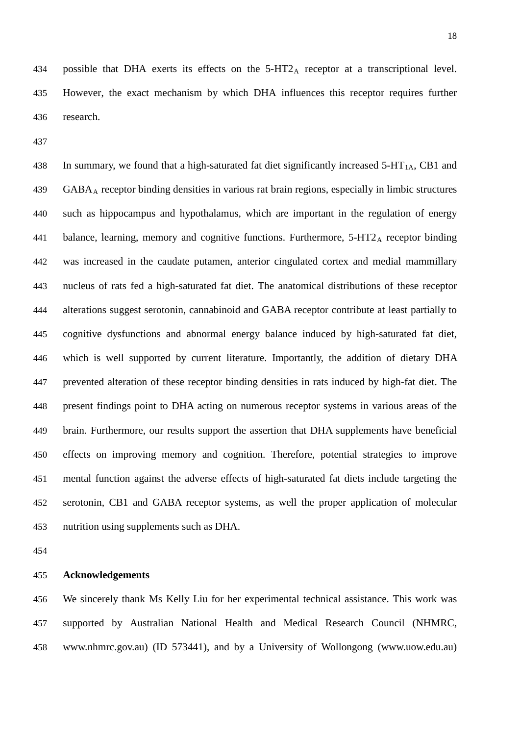438 In summary, we found that a high-saturated fat diet significantly increased  $5-HT<sub>1A</sub>$ , CB1 and GABAA receptor binding densities in various rat brain regions, especially in limbic structures such as hippocampus and hypothalamus, which are important in the regulation of energy 441 balance, learning, memory and cognitive functions. Furthermore,  $5-HT2_A$  receptor binding was increased in the caudate putamen, anterior cingulated cortex and medial mammillary nucleus of rats fed a high-saturated fat diet. The anatomical distributions of these receptor alterations suggest serotonin, cannabinoid and GABA receptor contribute at least partially to cognitive dysfunctions and abnormal energy balance induced by high-saturated fat diet, which is well supported by current literature. Importantly, the addition of dietary DHA prevented alteration of these receptor binding densities in rats induced by high-fat diet. The present findings point to DHA acting on numerous receptor systems in various areas of the brain. Furthermore, our results support the assertion that DHA supplements have beneficial effects on improving memory and cognition. Therefore, potential strategies to improve mental function against the adverse effects of high-saturated fat diets include targeting the serotonin, CB1 and GABA receptor systems, as well the proper application of molecular nutrition using supplements such as DHA.

## **Acknowledgements**

 We sincerely thank Ms Kelly Liu for her experimental technical assistance. This work was supported by Australian National Health and Medical Research Council (NHMRC, [www.nhmrc.gov.au\)](http://www.nhmrc.gov.au/) (ID 573441), and by a University of Wollongong [\(www.uow.edu.au\)](http://www.uow.edu.au/)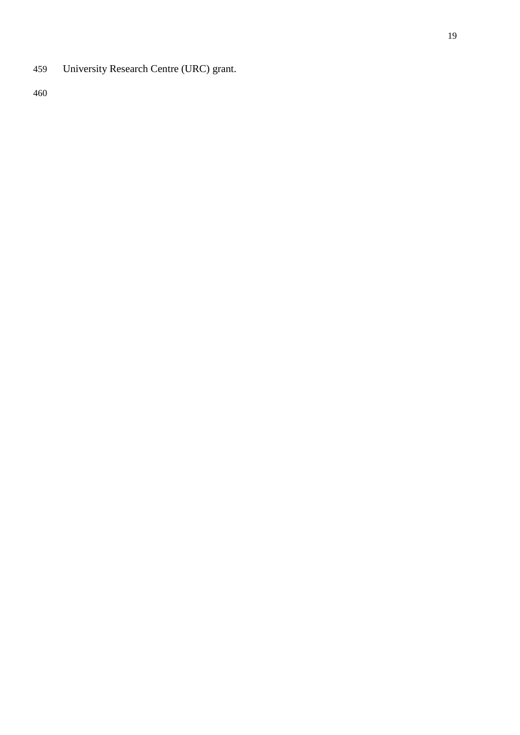University Research Centre (URC) grant.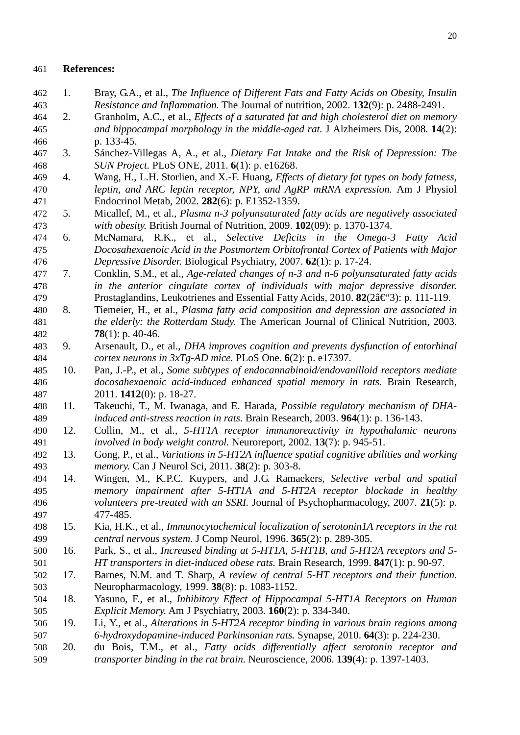#### **References:**

- 1. Bray, G.A., et al., *The Influence of Different Fats and Fatty Acids on Obesity, Insulin Resistance and Inflammation.* The Journal of nutrition, 2002. **132**(9): p. 2488-2491.
- 2. Granholm, A.C., et al., *Effects of a saturated fat and high cholesterol diet on memory and hippocampal morphology in the middle-aged rat.* J Alzheimers Dis, 2008. **14**(2): p. 133-45.
- 3. Sánchez-Villegas A, A., et al., *Dietary Fat Intake and the Risk of Depression: The SUN Project.* PLoS ONE, 2011. **6**(1): p. e16268.
- 4. Wang, H., L.H. Storlien, and X.-F. Huang, *Effects of dietary fat types on body fatness, leptin, and ARC leptin receptor, NPY, and AgRP mRNA expression.* Am J Physiol Endocrinol Metab, 2002. **282**(6): p. E1352-1359.
- 5. Micallef, M., et al., *Plasma n-3 polyunsaturated fatty acids are negatively associated with obesity.* British Journal of Nutrition, 2009. **102**(09): p. 1370-1374.
- 6. McNamara, R.K., et al., *Selective Deficits in the Omega-3 Fatty Acid Docosahexaenoic Acid in the Postmortem Orbitofrontal Cortex of Patients with Major Depressive Disorder.* Biological Psychiatry, 2007. **62**(1): p. 17-24.
- 7. Conklin, S.M., et al., *Age-related changes of n-3 and n-6 polyunsaturated fatty acids in the anterior cingulate cortex of individuals with major depressive disorder.* 479 Prostaglandins, Leukotrienes and Essential Fatty Acids, 2010. **82**(2‰3): p. 111-119.
- 8. Tiemeier, H., et al., *Plasma fatty acid composition and depression are associated in the elderly: the Rotterdam Study.* The American Journal of Clinical Nutrition, 2003. **78**(1): p. 40-46.
- 9. Arsenault, D., et al., *DHA improves cognition and prevents dysfunction of entorhinal cortex neurons in 3xTg-AD mice.* PLoS One. **6**(2): p. e17397.
- 10. Pan, J.-P., et al., *Some subtypes of endocannabinoid/endovanilloid receptors mediate docosahexaenoic acid-induced enhanced spatial memory in rats.* Brain Research, 2011. **1412**(0): p. 18-27.
- 11. Takeuchi, T., M. Iwanaga, and E. Harada, *Possible regulatory mechanism of DHA-induced anti-stress reaction in rats.* Brain Research, 2003. **964**(1): p. 136-143.
- 12. Collin, M., et al., *5-HT1A receptor immunoreactivity in hypothalamic neurons involved in body weight control.* Neuroreport, 2002. **13**(7): p. 945-51.
- 13. Gong, P., et al., *Variations in 5-HT2A influence spatial cognitive abilities and working memory.* Can J Neurol Sci, 2011. **38**(2): p. 303-8.
- 14. Wingen, M., K.P.C. Kuypers, and J.G. Ramaekers, *Selective verbal and spatial memory impairment after 5-HT1A and 5-HT2A receptor blockade in healthy volunteers pre-treated with an SSRI.* Journal of Psychopharmacology, 2007. **21**(5): p. 477-485.
- 15. Kia, H.K., et al., *Immunocytochemical localization of serotonin1A receptors in the rat central nervous system.* J Comp Neurol, 1996. **365**(2): p. 289-305.
- 16. Park, S., et al., *Increased binding at 5-HT1A, 5-HT1B, and 5-HT2A receptors and 5- HT transporters in diet-induced obese rats.* Brain Research, 1999. **847**(1): p. 90-97.
- 17. Barnes, N.M. and T. Sharp, *A review of central 5-HT receptors and their function.* Neuropharmacology, 1999. **38**(8): p. 1083-1152.
- 18. Yasuno, F., et al., *Inhibitory Effect of Hippocampal 5-HT1A Receptors on Human Explicit Memory.* Am J Psychiatry, 2003. **160**(2): p. 334-340.
- 19. Li, Y., et al., *Alterations in 5-HT2A receptor binding in various brain regions among 6-hydroxydopamine-induced Parkinsonian rats.* Synapse, 2010. **64**(3): p. 224-230.
- 20. du Bois, T.M., et al., *Fatty acids differentially affect serotonin receptor and transporter binding in the rat brain.* Neuroscience, 2006. **139**(4): p. 1397-1403.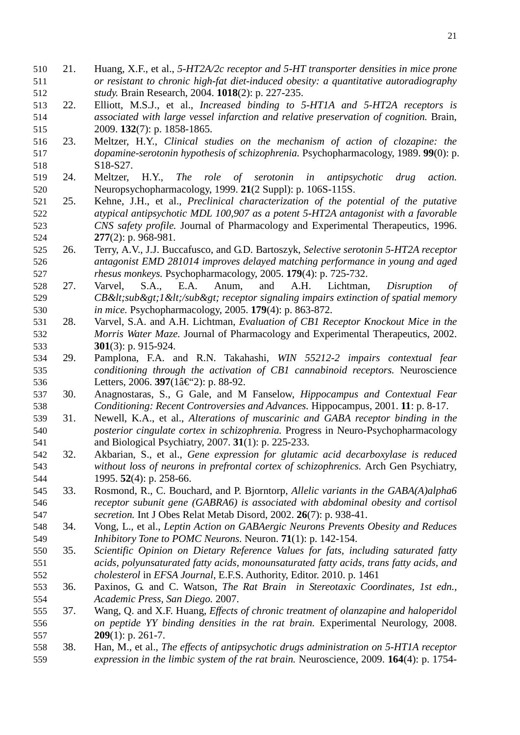- 21. Huang, X.F., et al., *5-HT2A/2c receptor and 5-HT transporter densities in mice prone or resistant to chronic high-fat diet-induced obesity: a quantitative autoradiography study.* Brain Research, 2004. **1018**(2): p. 227-235.
- 22. Elliott, M.S.J., et al., *Increased binding to 5-HT1A and 5-HT2A receptors is associated with large vessel infarction and relative preservation of cognition.* Brain, 2009. **132**(7): p. 1858-1865.
- 23. Meltzer, H.Y., *Clinical studies on the mechanism of action of clozapine: the dopamine-serotonin hypothesis of schizophrenia.* Psychopharmacology, 1989. **99**(0): p. S18-S27.
- 24. Meltzer, H.Y., *The role of serotonin in antipsychotic drug action.* Neuropsychopharmacology, 1999. **21**(2 Suppl): p. 106S-115S.
- 25. Kehne, J.H., et al., *Preclinical characterization of the potential of the putative atypical antipsychotic MDL 100,907 as a potent 5-HT2A antagonist with a favorable CNS safety profile.* Journal of Pharmacology and Experimental Therapeutics, 1996. **277**(2): p. 968-981.
- 26. Terry, A.V., J.J. Buccafusco, and G.D. Bartoszyk, *Selective serotonin 5-HT2A receptor antagonist EMD 281014 improves delayed matching performance in young and aged rhesus monkeys.* Psychopharmacology, 2005. **179**(4): p. 725-732.
- 27. Varvel, S.A., E.A. Anum, and A.H. Lichtman, *Disruption of CB<sub&gt;1&lt;/sub&gt; receptor signaling impairs extinction of spatial memory in mice.* Psychopharmacology, 2005. **179**(4): p. 863-872.
- 28. Varvel, S.A. and A.H. Lichtman, *Evaluation of CB1 Receptor Knockout Mice in the Morris Water Maze.* Journal of Pharmacology and Experimental Therapeutics, 2002. **301**(3): p. 915-924.
- 29. Pamplona, F.A. and R.N. Takahashi, *WIN 55212-2 impairs contextual fear conditioning through the activation of CB1 cannabinoid receptors.* Neuroscience 536 Letters, 2006. **397**( $1\hat{a} \in 2$ ): p. 88-92.
- 30. Anagnostaras, S., G Gale, and M Fanselow, *Hippocampus and Contextual Fear Conditioning: Recent Controversies and Advances.* Hippocampus, 2001. **11**: p. 8-17.
- 31. Newell, K.A., et al., *Alterations of muscarinic and GABA receptor binding in the posterior cingulate cortex in schizophrenia.* Progress in Neuro-Psychopharmacology and Biological Psychiatry, 2007. **31**(1): p. 225-233.
- 32. Akbarian, S., et al., *Gene expression for glutamic acid decarboxylase is reduced without loss of neurons in prefrontal cortex of schizophrenics.* Arch Gen Psychiatry, 1995. **52**(4): p. 258-66.
- 33. Rosmond, R., C. Bouchard, and P. Bjorntorp, *Allelic variants in the GABA(A)alpha6 receptor subunit gene (GABRA6) is associated with abdominal obesity and cortisol secretion.* Int J Obes Relat Metab Disord, 2002. **26**(7): p. 938-41.
- 34. Vong, L., et al., *Leptin Action on GABAergic Neurons Prevents Obesity and Reduces Inhibitory Tone to POMC Neurons.* Neuron. **71**(1): p. 142-154.
- 35. *Scientific Opinion on Dietary Reference Values for fats, including saturated fatty acids, polyunsaturated fatty acids, monounsaturated fatty acids, trans fatty acids, and cholesterol* in *EFSA Journal*, E.F.S. Authority, Editor. 2010. p. 1461
- 36. Paxinos, G. and C. Watson, *The Rat Brain in Stereotaxic Coordinates, 1st edn., Academic Press, San Diego.* 2007.
- 37. Wang, Q. and X.F. Huang, *Effects of chronic treatment of olanzapine and haloperidol on peptide YY binding densities in the rat brain.* Experimental Neurology, 2008. **209**(1): p. 261-7.
- 38. Han, M., et al., *The effects of antipsychotic drugs administration on 5-HT1A receptor expression in the limbic system of the rat brain.* Neuroscience, 2009. **164**(4): p. 1754-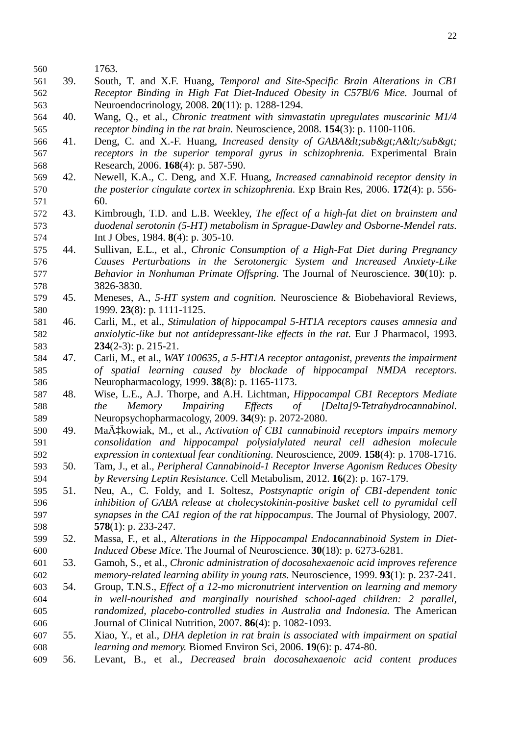- 1763.
- 39. South, T. and X.F. Huang, *Temporal and Site-Specific Brain Alterations in CB1 Receptor Binding in High Fat Diet-Induced Obesity in C57Bl/6 Mice.* Journal of Neuroendocrinology, 2008. **20**(11): p. 1288-1294.
- 40. Wang, Q., et al., *Chronic treatment with simvastatin upregulates muscarinic M1/4 receptor binding in the rat brain.* Neuroscience, 2008. **154**(3): p. 1100-1106.
- 566 41. Deng, C. and X.-F. Huang, *Increased density of GABA<sub&gt;A&lt;/sub&gt; receptors in the superior temporal gyrus in schizophrenia.* Experimental Brain Research, 2006. **168**(4): p. 587-590.
- 42. Newell, K.A., C. Deng, and X.F. Huang, *Increased cannabinoid receptor density in the posterior cingulate cortex in schizophrenia.* Exp Brain Res, 2006. **172**(4): p. 556- 60.
- 43. Kimbrough, T.D. and L.B. Weekley, *The effect of a high-fat diet on brainstem and duodenal serotonin (5-HT) metabolism in Sprague-Dawley and Osborne-Mendel rats.* Int J Obes, 1984. **8**(4): p. 305-10.
- 44. Sullivan, E.L., et al., *Chronic Consumption of a High-Fat Diet during Pregnancy Causes Perturbations in the Serotonergic System and Increased Anxiety-Like Behavior in Nonhuman Primate Offspring.* The Journal of Neuroscience. **30**(10): p. 3826-3830.
- 45. Meneses, A., *5-HT system and cognition.* Neuroscience & Biobehavioral Reviews, 1999. **23**(8): p. 1111-1125.
- 46. Carli, M., et al., *Stimulation of hippocampal 5-HT1A receptors causes amnesia and anxiolytic-like but not antidepressant-like effects in the rat.* Eur J Pharmacol, 1993. **234**(2-3): p. 215-21.
- 47. Carli, M., et al., *WAY 100635, a 5-HT1A receptor antagonist, prevents the impairment of spatial learning caused by blockade of hippocampal NMDA receptors.* Neuropharmacology, 1999. **38**(8): p. 1165-1173.
- 48. Wise, L.E., A.J. Thorpe, and A.H. Lichtman, *Hippocampal CB1 Receptors Mediate the Memory Impairing Effects of [Delta]9-Tetrahydrocannabinol.* Neuropsychopharmacology, 2009. **34**(9): p. 2072-2080.
- 590 49. MaÄ $\ddagger$ kowiak, M., et al., *Activation of CB1 cannabinoid receptors impairs memory consolidation and hippocampal polysialylated neural cell adhesion molecule expression in contextual fear conditioning.* Neuroscience, 2009. **158**(4): p. 1708-1716.
- 50. Tam, J., et al., *Peripheral Cannabinoid-1 Receptor Inverse Agonism Reduces Obesity by Reversing Leptin Resistance.* Cell Metabolism, 2012. **16**(2): p. 167-179.
- 51. Neu, A., C. Foldy, and I. Soltesz, *Postsynaptic origin of CB1-dependent tonic inhibition of GABA release at cholecystokinin-positive basket cell to pyramidal cell synapses in the CA1 region of the rat hippocampus.* The Journal of Physiology, 2007. **578**(1): p. 233-247.
- 52. Massa, F., et al., *Alterations in the Hippocampal Endocannabinoid System in Diet-Induced Obese Mice.* The Journal of Neuroscience. **30**(18): p. 6273-6281.
- 53. Gamoh, S., et al., *Chronic administration of docosahexaenoic acid improves reference memory-related learning ability in young rats.* Neuroscience, 1999. **93**(1): p. 237-241.
- 54. Group, T.N.S., *Effect of a 12-mo micronutrient intervention on learning and memory in well-nourished and marginally nourished school-aged children: 2 parallel, randomized, placebo-controlled studies in Australia and Indonesia.* The American Journal of Clinical Nutrition, 2007. **86**(4): p. 1082-1093.
- 55. Xiao, Y., et al., *DHA depletion in rat brain is associated with impairment on spatial learning and memory.* Biomed Environ Sci, 2006. **19**(6): p. 474-80.
- 56. Levant, B., et al., *Decreased brain docosahexaenoic acid content produces*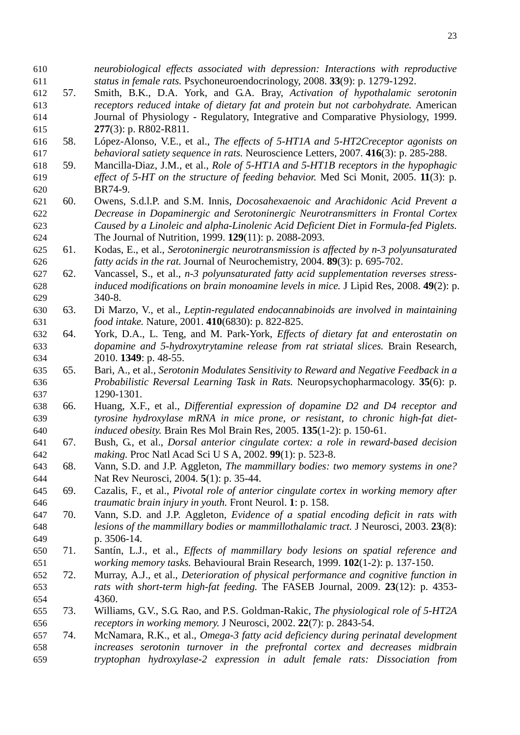*status in female rats.* Psychoneuroendocrinology, 2008. **33**(9): p. 1279-1292. 57. Smith, B.K., D.A. York, and G.A. Bray, *Activation of hypothalamic serotonin receptors reduced intake of dietary fat and protein but not carbohydrate.* American Journal of Physiology - Regulatory, Integrative and Comparative Physiology, 1999. **277**(3): p. R802-R811. 58. López-Alonso, V.E., et al., *The effects of 5-HT1A and 5-HT2Creceptor agonists on behavioral satiety sequence in rats.* Neuroscience Letters, 2007. **416**(3): p. 285-288. 59. Mancilla-Diaz, J.M., et al., *Role of 5-HT1A and 5-HT1B receptors in the hypophagic effect of 5-HT on the structure of feeding behavior.* Med Sci Monit, 2005. **11**(3): p. BR74-9. 60. Owens, S.d.l.P. and S.M. Innis, *Docosahexaenoic and Arachidonic Acid Prevent a Decrease in Dopaminergic and Serotoninergic Neurotransmitters in Frontal Cortex Caused by a Linoleic and alpha-Linolenic Acid Deficient Diet in Formula-fed Piglets.* The Journal of Nutrition, 1999. **129**(11): p. 2088-2093. 61. Kodas, E., et al., *Serotoninergic neurotransmission is affected by n-3 polyunsaturated fatty acids in the rat.* Journal of Neurochemistry, 2004. **89**(3): p. 695-702. 62. Vancassel, S., et al., *n-3 polyunsaturated fatty acid supplementation reverses stress- induced modifications on brain monoamine levels in mice.* J Lipid Res, 2008. **49**(2): p. 340-8. 63. Di Marzo, V., et al., *Leptin-regulated endocannabinoids are involved in maintaining food intake.* Nature, 2001. **410**(6830): p. 822-825. 64. York, D.A., L. Teng, and M. Park-York, *Effects of dietary fat and enterostatin on dopamine and 5-hydroxytrytamine release from rat striatal slices.* Brain Research, 2010. **1349**: p. 48-55. 65. Bari, A., et al., *Serotonin Modulates Sensitivity to Reward and Negative Feedback in a Probabilistic Reversal Learning Task in Rats.* Neuropsychopharmacology. **35**(6): p. 1290-1301. 66. Huang, X.F., et al., *Differential expression of dopamine D2 and D4 receptor and tyrosine hydroxylase mRNA in mice prone, or resistant, to chronic high-fat diet- induced obesity.* Brain Res Mol Brain Res, 2005. **135**(1-2): p. 150-61. 67. Bush, G., et al., *Dorsal anterior cingulate cortex: a role in reward-based decision making.* Proc Natl Acad Sci U S A, 2002. **99**(1): p. 523-8. 68. Vann, S.D. and J.P. Aggleton, *The mammillary bodies: two memory systems in one?* Nat Rev Neurosci, 2004. **5**(1): p. 35-44. 69. Cazalis, F., et al., *Pivotal role of anterior cingulate cortex in working memory after traumatic brain injury in youth.* Front Neurol. **1**: p. 158. 70. Vann, S.D. and J.P. Aggleton, *Evidence of a spatial encoding deficit in rats with lesions of the mammillary bodies or mammillothalamic tract.* J Neurosci, 2003. **23**(8): p. 3506-14. 71. Santín, L.J., et al., *Effects of mammillary body lesions on spatial reference and working memory tasks.* Behavioural Brain Research, 1999. **102**(1-2): p. 137-150. 72. Murray, A.J., et al., *Deterioration of physical performance and cognitive function in rats with short-term high-fat feeding.* The FASEB Journal, 2009. **23**(12): p. 4353- 4360. 73. Williams, G.V., S.G. Rao, and P.S. Goldman-Rakic, *The physiological role of 5-HT2A receptors in working memory.* J Neurosci, 2002. **22**(7): p. 2843-54. 74. McNamara, R.K., et al., *Omega-3 fatty acid deficiency during perinatal development increases serotonin turnover in the prefrontal cortex and decreases midbrain tryptophan hydroxylase-2 expression in adult female rats: Dissociation from* 

*neurobiological effects associated with depression: Interactions with reproductive*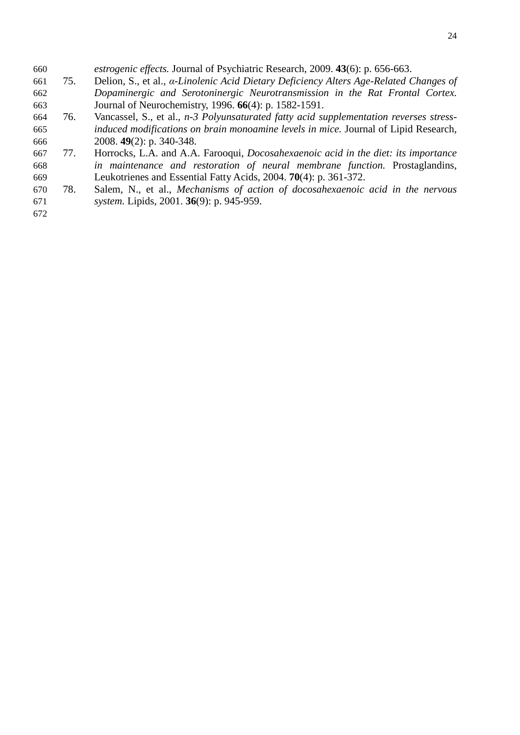- *estrogenic effects.* Journal of Psychiatric Research, 2009. **43**(6): p. 656-663.
- 75. Delion, S., et al., *α-Linolenic Acid Dietary Deficiency Alters Age-Related Changes of Dopaminergic and Serotoninergic Neurotransmission in the Rat Frontal Cortex.* Journal of Neurochemistry, 1996. **66**(4): p. 1582-1591.
- 76. Vancassel, S., et al., *n-3 Polyunsaturated fatty acid supplementation reverses stress- induced modifications on brain monoamine levels in mice.* Journal of Lipid Research, 2008. **49**(2): p. 340-348.
- 77. Horrocks, L.A. and A.A. Farooqui, *Docosahexaenoic acid in the diet: its importance in maintenance and restoration of neural membrane function.* Prostaglandins, Leukotrienes and Essential Fatty Acids, 2004. **70**(4): p. 361-372.
- 78. Salem, N., et al., *Mechanisms of action of docosahexaenoic acid in the nervous system.* Lipids, 2001. **36**(9): p. 945-959.
-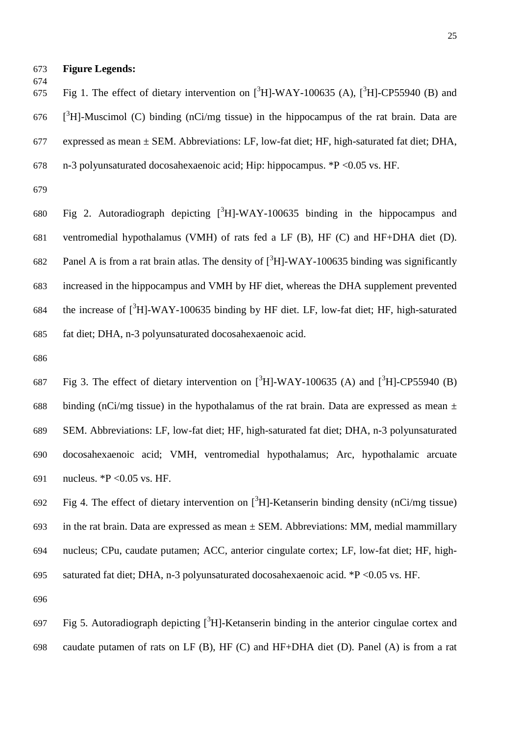- **Figure Legends:**
- 
- 

675 Fig 1. The effect of dietary intervention on  $[{}^3H]$ -WAY-100635 (A),  $[{}^3H]$ -CP55940 (B) and

- $[3]$ <sup>3</sup>H]-Muscimol (C) binding (nCi/mg tissue) in the hippocampus of the rat brain. Data are
- expressed as mean ± SEM. Abbreviations: LF, low-fat diet; HF, high-saturated fat diet; DHA,
- n-3 polyunsaturated docosahexaenoic acid; Hip: hippocampus. \*P <0.05 vs. HF.
- 

680 Fig 2. Autoradiograph depicting  $[{}^{3}H]$ -WAY-100635 binding in the hippocampus and ventromedial hypothalamus (VMH) of rats fed a LF (B), HF (C) and HF+DHA diet (D). 682 Panel A is from a rat brain atlas. The density of  $\int^3 H$ -WAY-100635 binding was significantly increased in the hippocampus and VMH by HF diet, whereas the DHA supplement prevented 684 the increase of  $[{}^{3}H]$ -WAY-100635 binding by HF diet. LF, low-fat diet; HF, high-saturated fat diet; DHA, n-3 polyunsaturated docosahexaenoic acid.

687 Fig 3. The effect of dietary intervention on  $[^{3}H]$ -WAY-100635 (A) and  $[^{3}H]$ -CP55940 (B) 688 binding (nCi/mg tissue) in the hypothalamus of the rat brain. Data are expressed as mean  $\pm$  SEM. Abbreviations: LF, low-fat diet; HF, high-saturated fat diet; DHA, n-3 polyunsaturated docosahexaenoic acid; VMH, ventromedial hypothalamus; Arc, hypothalamic arcuate nucleus. \*P <0.05 vs. HF.

692 Fig 4. The effect of dietary intervention on  $[{}^{3}H]$ -Ketanserin binding density (nCi/mg tissue) 693 in the rat brain. Data are expressed as mean  $\pm$  SEM. Abbreviations: MM, medial mammillary nucleus; CPu, caudate putamen; ACC, anterior cingulate cortex; LF, low-fat diet; HF, high-saturated fat diet; DHA, n-3 polyunsaturated docosahexaenoic acid. \*P <0.05 vs. HF.

697 Fig 5. Autoradiograph depicting  $[{}^3H]$ -Ketanserin binding in the anterior cingulae cortex and caudate putamen of rats on LF (B), HF (C) and HF+DHA diet (D). Panel (A) is from a rat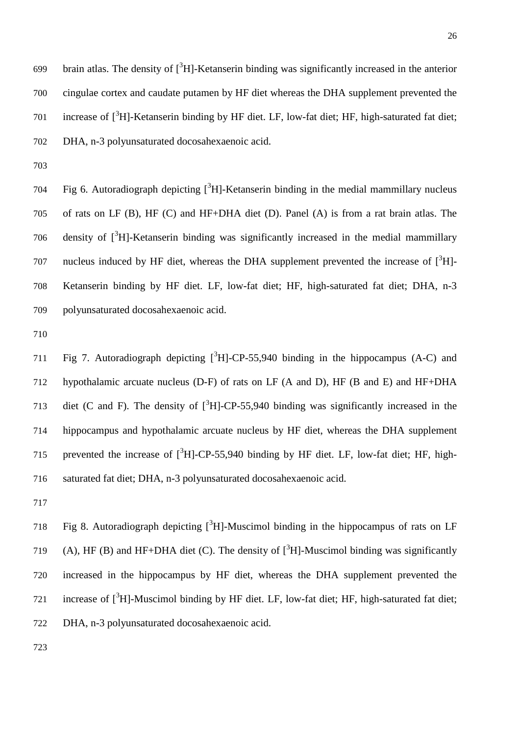699 brain atlas. The density of  $\int^3 H$ -Ketanserin binding was significantly increased in the anterior cingulae cortex and caudate putamen by HF diet whereas the DHA supplement prevented the 701 increase of  $\left[3H\right]$ -Ketanserin binding by HF diet. LF, low-fat diet; HF, high-saturated fat diet; DHA, n-3 polyunsaturated docosahexaenoic acid.

704 Fig 6. Autoradiograph depicting  $[3H]$ -Ketanserin binding in the medial mammillary nucleus of rats on LF (B), HF (C) and HF+DHA diet (D). Panel (A) is from a rat brain atlas. The density of  $\binom{3}{1}$ -Ketanserin binding was significantly increased in the medial mammillary 707 nucleus induced by HF diet, whereas the DHA supplement prevented the increase of  $[^{3}H]$ - Ketanserin binding by HF diet. LF, low-fat diet; HF, high-saturated fat diet; DHA, n-3 polyunsaturated docosahexaenoic acid.

711 Fig 7. Autoradiograph depicting  $[^{3}H]$ -CP-55,940 binding in the hippocampus (A-C) and hypothalamic arcuate nucleus (D-F) of rats on LF (A and D), HF (B and E) and HF+DHA 713 diet (C and F). The density of  $[3H]$ -CP-55,940 binding was significantly increased in the hippocampus and hypothalamic arcuate nucleus by HF diet, whereas the DHA supplement 715 prevented the increase of  $[^{3}H]$ -CP-55,940 binding by HF diet. LF, low-fat diet; HF, high-saturated fat diet; DHA, n-3 polyunsaturated docosahexaenoic acid.

718 Fig 8. Autoradiograph depicting  $[{}^{3}H]$ -Muscimol binding in the hippocampus of rats on LF (A), HF (B) and HF+DHA diet (C). The density of  $\int^3 H$ -Muscimol binding was significantly increased in the hippocampus by HF diet, whereas the DHA supplement prevented the 721 increase of  $\left[ \right]$ <sup>3</sup>H]-Muscimol binding by HF diet. LF, low-fat diet; HF, high-saturated fat diet; DHA, n-3 polyunsaturated docosahexaenoic acid.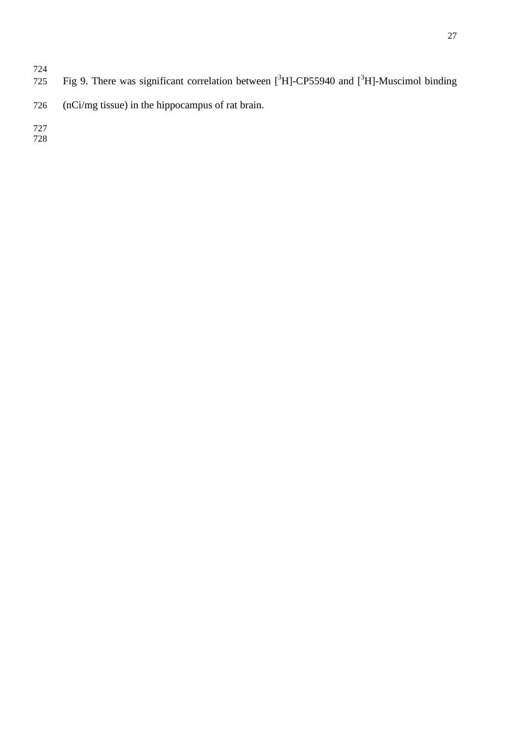- 725 Fig 9. There was significant correlation between  $[^{3}H]$ -CP55940 and  $[^{3}H]$ -Muscimol binding
- (nCi/mg tissue) in the hippocampus of rat brain.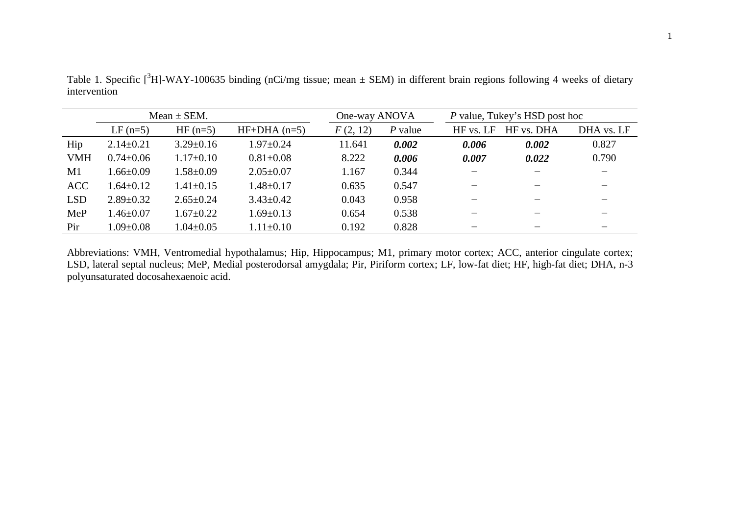|            |                 | Mean $\pm$ SEM. |                 | One-way ANOVA |           | P value, Tukey's HSD post hoc |            |            |
|------------|-----------------|-----------------|-----------------|---------------|-----------|-------------------------------|------------|------------|
|            | $LF$ (n=5)      | $HF(n=5)$       | $HF+DHA$ (n=5)  | F(2, 12)      | $P$ value | HF vs. LF                     | HF vs. DHA | DHA vs. LF |
| Hip        | $2.14 \pm 0.21$ | $3.29 \pm 0.16$ | $1.97 \pm 0.24$ | 11.641        | 0.002     | 0.006                         | 0.002      | 0.827      |
| <b>VMH</b> | $0.74 \pm 0.06$ | $1.17\pm0.10$   | $0.81 \pm 0.08$ | 8.222         | 0.006     | 0.007                         | 0.022      | 0.790      |
| M1         | $1.66 \pm 0.09$ | $1.58 \pm 0.09$ | $2.05 \pm 0.07$ | 1.167         | 0.344     |                               |            |            |
| <b>ACC</b> | $.64 \pm 0.12$  | $1.41 \pm 0.15$ | $1.48 \pm 0.17$ | 0.635         | 0.547     |                               |            |            |
| <b>LSD</b> | $2.89 \pm 0.32$ | $2.65 \pm 0.24$ | $3.43 \pm 0.42$ | 0.043         | 0.958     |                               |            |            |
| MeP        | $1.46 \pm 0.07$ | $1.67 \pm 0.22$ | $1.69 \pm 0.13$ | 0.654         | 0.538     |                               |            |            |
| Pir        | $1.09 \pm 0.08$ | $1.04 \pm 0.05$ | $1.11 \pm 0.10$ | 0.192         | 0.828     |                               |            |            |

Table 1. Specific  $[^{3}H]$ -WAY-100635 binding (nCi/mg tissue; mean  $\pm$  SEM) in different brain regions following 4 weeks of dietary intervention

Abbreviations: VMH, Ventromedial hypothalamus; Hip, Hippocampus; M1, primary motor cortex; ACC, anterior cingulate cortex; LSD, lateral septal nucleus; MeP, Medial posterodorsal amygdala; Pir, Piriform cortex; LF, low-fat diet; HF, high-fat diet; DHA, n-3 polyunsaturated docosahexaenoic acid.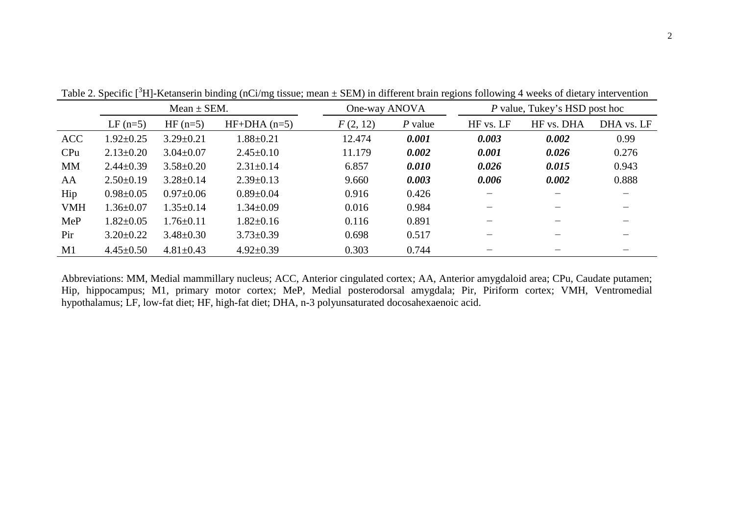|            | Mean $\pm$ SEM. |                 |                 | One-way ANOVA |           |           | P value, Tukey's HSD post hoc |            |  |
|------------|-----------------|-----------------|-----------------|---------------|-----------|-----------|-------------------------------|------------|--|
|            | $LF$ (n=5)      | $HF(n=5)$       | $HF+DHA$ (n=5)  | F(2, 12)      | $P$ value | HF vs. LF | HF vs. DHA                    | DHA vs. LF |  |
| <b>ACC</b> | $1.92 \pm 0.25$ | $3.29 \pm 0.21$ | $1.88 \pm 0.21$ | 12.474        | 0.001     | 0.003     | 0.002                         | 0.99       |  |
| CPu        | $2.13 \pm 0.20$ | $3.04 \pm 0.07$ | $2.45 \pm 0.10$ | 11.179        | 0.002     | 0.001     | 0.026                         | 0.276      |  |
| <b>MM</b>  | $2.44 \pm 0.39$ | $3.58 \pm 0.20$ | $2.31 \pm 0.14$ | 6.857         | 0.010     | 0.026     | 0.015                         | 0.943      |  |
| AA         | $2.50\pm0.19$   | $3.28 \pm 0.14$ | $2.39 \pm 0.13$ | 9.660         | 0.003     | 0.006     | 0.002                         | 0.888      |  |
| Hip        | $0.98 \pm 0.05$ | $0.97 \pm 0.06$ | $0.89 \pm 0.04$ | 0.916         | 0.426     |           |                               |            |  |
| <b>VMH</b> | $1.36 \pm 0.07$ | $1.35 \pm 0.14$ | $1.34 \pm 0.09$ | 0.016         | 0.984     |           |                               |            |  |
| MeP        | $1.82 \pm 0.05$ | $1.76 \pm 0.11$ | $1.82 \pm 0.16$ | 0.116         | 0.891     |           |                               |            |  |
| Pir        | $3.20 \pm 0.22$ | $3.48 \pm 0.30$ | $3.73 \pm 0.39$ | 0.698         | 0.517     |           |                               |            |  |
| M1         | $4.45 \pm 0.50$ | $4.81 \pm 0.43$ | $4.92 \pm 0.39$ | 0.303         | 0.744     |           |                               |            |  |

Table 2. Specific  $[^{3}H]$ -Ketanserin binding (nCi/mg tissue; mean  $\pm$  SEM) in different brain regions following 4 weeks of dietary intervention

Abbreviations: MM, Medial mammillary nucleus; ACC, Anterior cingulated cortex; AA, Anterior amygdaloid area; CPu, Caudate putamen; Hip, hippocampus; M1, primary motor cortex; MeP, Medial posterodorsal amygdala; Pir, Piriform cortex; VMH, Ventromedial hypothalamus; LF, low-fat diet; HF, high-fat diet; DHA, n-3 polyunsaturated docosahexaenoic acid.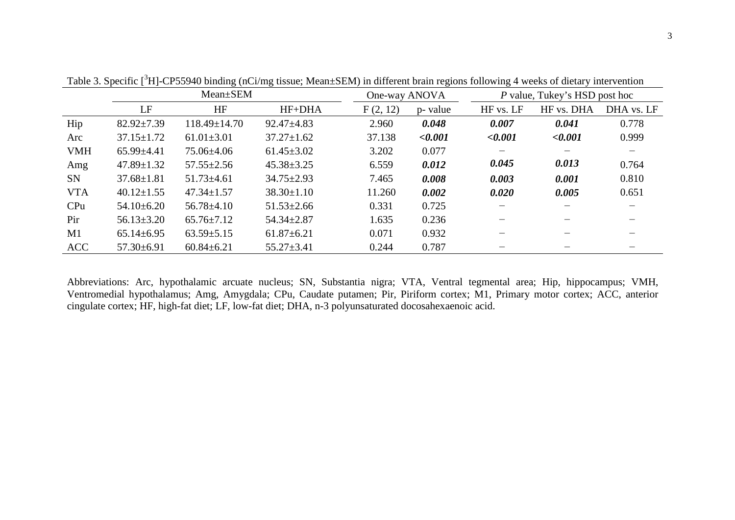|            |                  | Mean±SEM           | One-way ANOVA    |          | P value, Tukey's HSD post hoc |           |            |            |
|------------|------------------|--------------------|------------------|----------|-------------------------------|-----------|------------|------------|
|            | LF               | HF                 | HF+DHA           | F(2, 12) | p- value                      | HF vs. LF | HF vs. DHA | DHA vs. LF |
| Hip        | $82.92 \pm 7.39$ | $118.49 \pm 14.70$ | $92.47 \pm 4.83$ | 2.960    | 0.048                         | 0.007     | 0.041      | 0.778      |
| Arc        | $37.15 \pm 1.72$ | $61.01 \pm 3.01$   | $37.27 \pm 1.62$ | 37.138   | < 0.001                       | < 0.001   | < 0.001    | 0.999      |
| <b>VMH</b> | $65.99 \pm 4.41$ | 75.06±4.06         | $61.45 \pm 3.02$ | 3.202    | 0.077                         |           |            |            |
| Amg        | $47.89 \pm 1.32$ | $57.55 \pm 2.56$   | $45.38 \pm 3.25$ | 6.559    | 0.012                         | 0.045     | 0.013      | 0.764      |
| <b>SN</b>  | $37.68 \pm 1.81$ | $51.73 \pm 4.61$   | $34.75 \pm 2.93$ | 7.465    | 0.008                         | 0.003     | 0.001      | 0.810      |
| <b>VTA</b> | $40.12 \pm 1.55$ | $47.34 \pm 1.57$   | $38.30 \pm 1.10$ | 11.260   | 0.002                         | 0.020     | 0.005      | 0.651      |
| CPu        | $54.10\pm 6.20$  | $56.78 \pm 4.10$   | $51.53 \pm 2.66$ | 0.331    | 0.725                         |           |            |            |
| Pir        | $56.13 \pm 3.20$ | $65.76 \pm 7.12$   | $54.34 \pm 2.87$ | 1.635    | 0.236                         |           |            |            |
| M1         | $65.14 \pm 6.95$ | $63.59 \pm 5.15$   | $61.87 \pm 6.21$ | 0.071    | 0.932                         |           |            |            |
| <b>ACC</b> | $57.30 \pm 6.91$ | $60.84 \pm 6.21$   | $55.27 \pm 3.41$ | 0.244    | 0.787                         |           |            |            |

Table 3. Specific [<sup>3</sup>H]-CP55940 binding (nCi/mg tissue; Mean±SEM) in different brain regions following 4 weeks of dietary intervention

Abbreviations: Arc, hypothalamic arcuate nucleus; SN, Substantia nigra; VTA, Ventral tegmental area; Hip, hippocampus; VMH, Ventromedial hypothalamus; Amg, Amygdala; CPu, Caudate putamen; Pir, Piriform cortex; M1, Primary motor cortex; ACC, anterior cingulate cortex; HF, high-fat diet; LF, low-fat diet; DHA, n-3 polyunsaturated docosahexaenoic acid.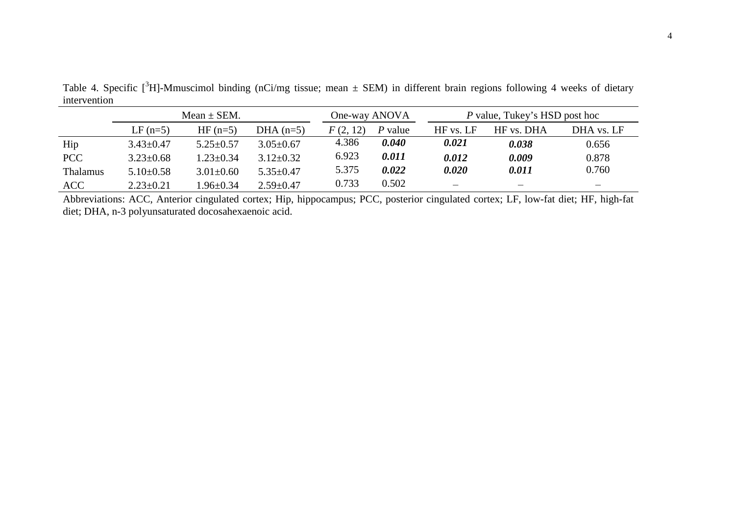| $\frac{1}{111001}$ , $\frac{1}{110101011}$ |                 |                 |                 |               |         |                               |            |            |  |
|--------------------------------------------|-----------------|-----------------|-----------------|---------------|---------|-------------------------------|------------|------------|--|
|                                            | Mean $\pm$ SEM. |                 |                 | One-way ANOVA |         | P value, Tukey's HSD post hoc |            |            |  |
|                                            | $LF(n=5)$       | $HF(n=5)$       | DHA $(n=5)$     | F(2, 12)      | P value | HF vs. LF                     | HF vs. DHA | DHA vs. LF |  |
| Hip                                        | $3.43 \pm 0.47$ | $5.25 \pm 0.57$ | $3.05 \pm 0.67$ | 4.386         | 0.040   | 0.021                         | 0.038      | 0.656      |  |
| <b>PCC</b>                                 | $3.23 \pm 0.68$ | $1.23 \pm 0.34$ | $3.12 \pm 0.32$ | 6.923         | 0.011   | 0.012                         | 0.009      | 0.878      |  |
| <b>Thalamus</b>                            | $5.10\pm0.58$   | $3.01 \pm 0.60$ | $5.35 \pm 0.47$ | 5.375         | 0.022   | 0.020                         | 0.011      | 0.760      |  |
| <b>ACC</b>                                 | $2.23 \pm 0.21$ | $1.96 \pm 0.34$ | $2.59 \pm 0.47$ | 0.733         | 0.502   |                               |            |            |  |

Table 4. Specific  $[^{3}H]$ -Mmuscimol binding (nCi/mg tissue; mean  $\pm$  SEM) in different brain regions following 4 weeks of dietary intervention

Abbreviations: ACC, Anterior cingulated cortex; Hip, hippocampus; PCC, posterior cingulated cortex; LF, low-fat diet; HF, high-fat diet; DHA, n-3 polyunsaturated docosahexaenoic acid.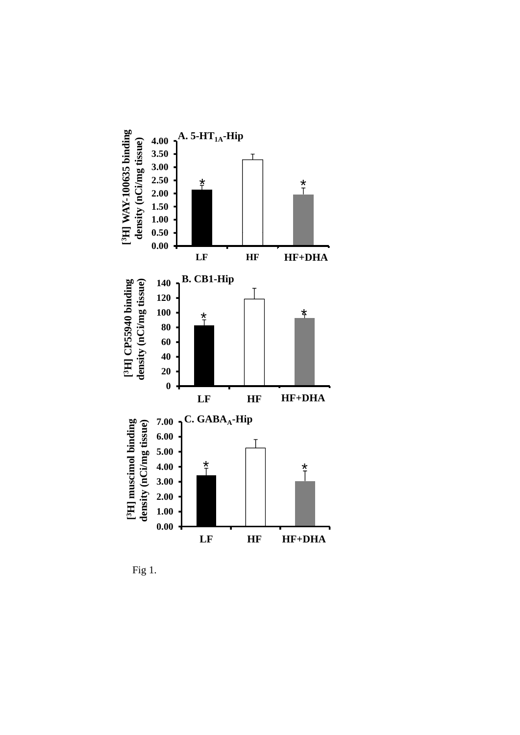

Fig 1.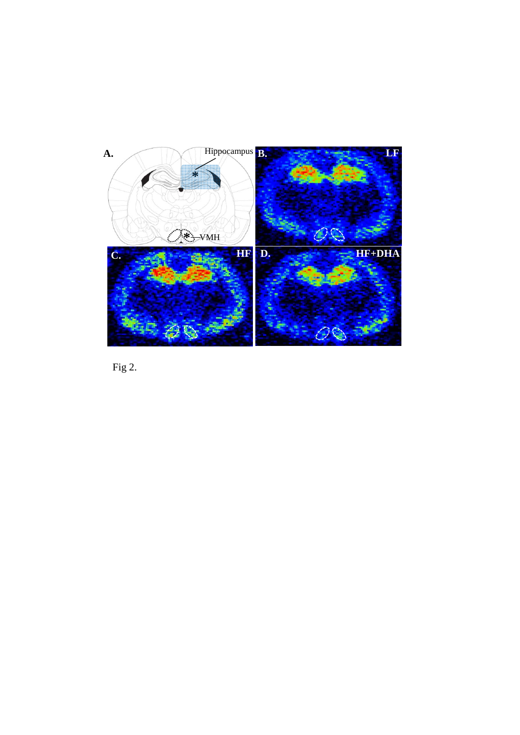

Fig 2.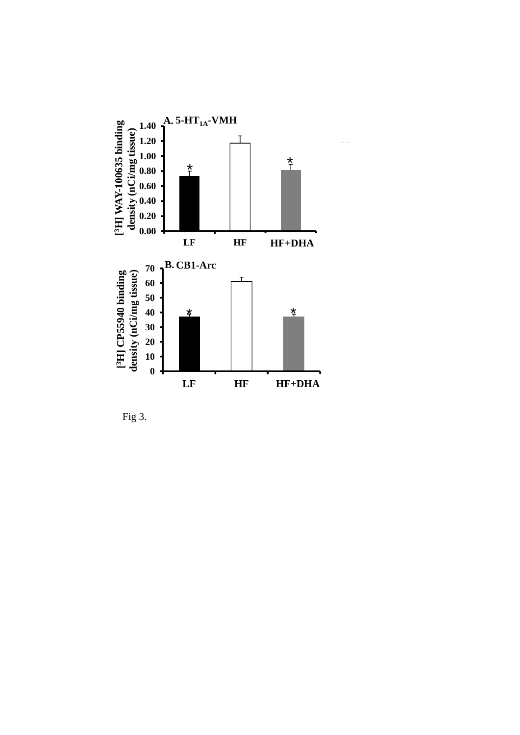

Fig 3.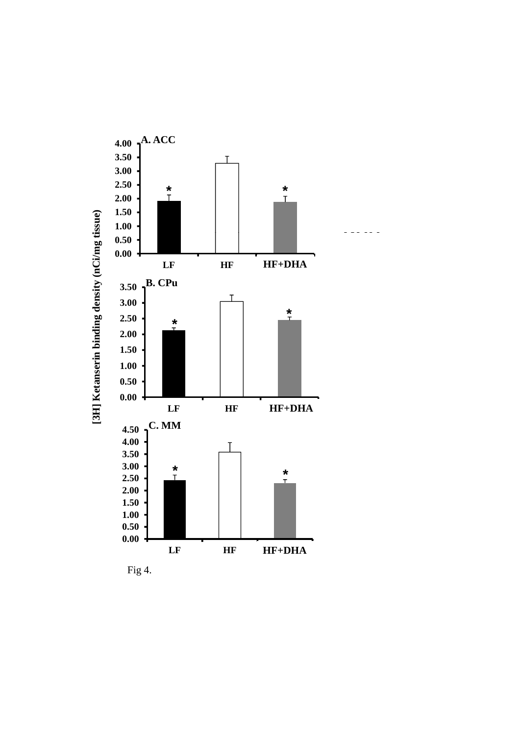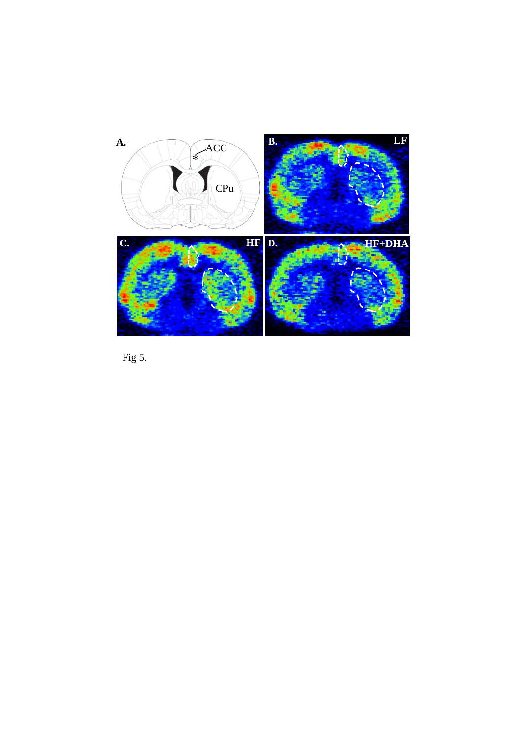

Fig 5.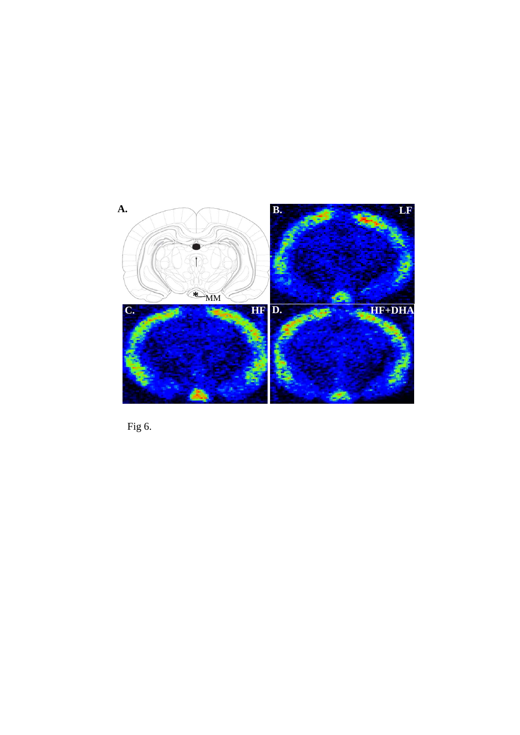

Fig 6.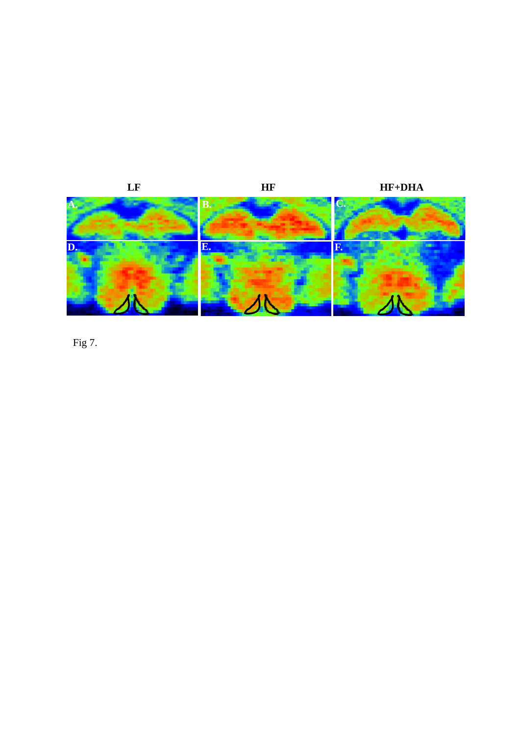

Fig 7.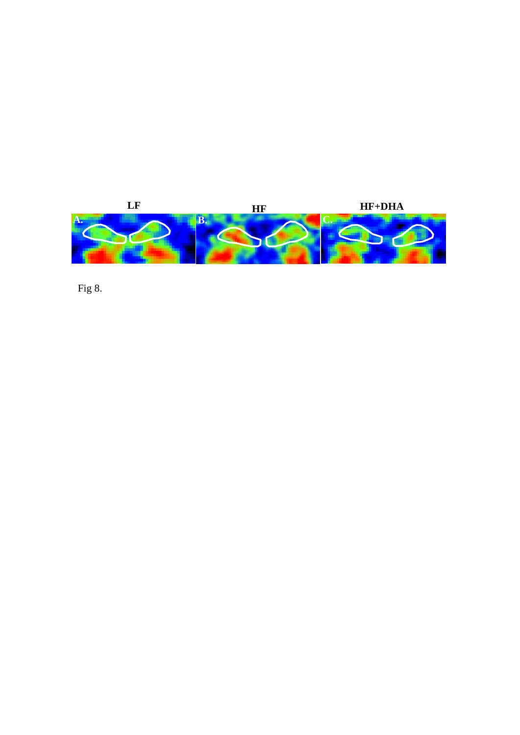

Fig 8.